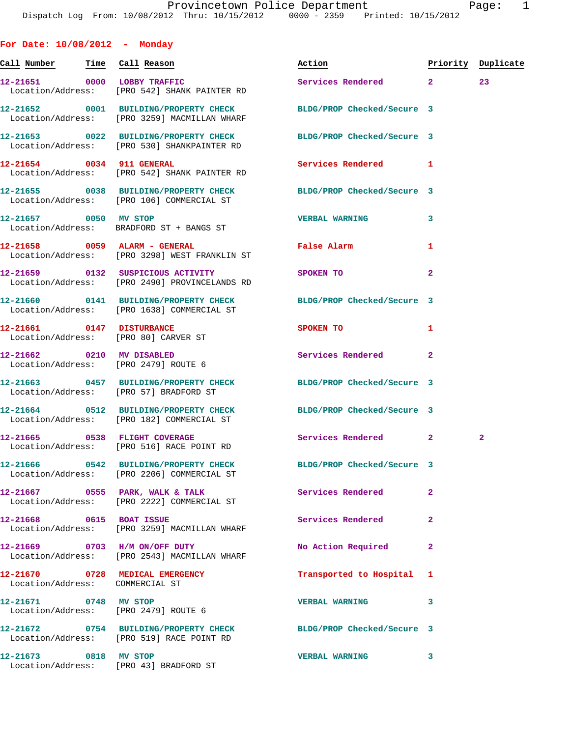Dispatch Log From: 10/08/2012 Thru: 10/15/2012 0000 - 2359 Printed: 10/15/2012 **For Date: 10/08/2012 - Monday Call Number Time Call Reason Action Priority Duplicate 12-21651 0000 LOBBY TRAFFIC Services Rendered 2 23**  Location/Address: [PRO 542] SHANK PAINTER RD **12-21652 0001 BUILDING/PROPERTY CHECK BLDG/PROP Checked/Secure 3**  Location/Address: [PRO 3259] MACMILLAN WHARF **12-21653 0022 BUILDING/PROPERTY CHECK BLDG/PROP Checked/Secure 3**  Location/Address: [PRO 530] SHANKPAINTER RD **12-21654 0034 911 GENERAL Services Rendered 1**  Location/Address: [PRO 542] SHANK PAINTER RD **12-21655 0038 BUILDING/PROPERTY CHECK BLDG/PROP Checked/Secure 3**  Location/Address: [PRO 106] COMMERCIAL ST **12-21657 0050 MV STOP VERBAL WARNING 3**  Location/Address: BRADFORD ST + BANGS ST **12-21658 0059 ALARM - GENERAL False Alarm 1**  Location/Address: [PRO 3298] WEST FRANKLIN ST **12-21659 0132 SUSPICIOUS ACTIVITY SPOKEN TO 2**  Location/Address: [PRO 2490] PROVINCELANDS RD **12-21660 0141 BUILDING/PROPERTY CHECK BLDG/PROP Checked/Secure 3**  Location/Address: [PRO 1638] COMMERCIAL ST **12-21661 0147 DISTURBANCE SPOKEN TO 1**  Location/Address: [PRO 80] CARVER ST **12-21662 0210 MV DISABLED Services Rendered 2**  Location/Address: [PRO 2479] ROUTE 6 **12-21663 0457 BUILDING/PROPERTY CHECK BLDG/PROP Checked/Secure 3**  Location/Address: [PRO 57] BRADFORD ST **12-21664 0512 BUILDING/PROPERTY CHECK BLDG/PROP Checked/Secure 3**  Location/Address: [PRO 182] COMMERCIAL ST **12-21665 0538 FLIGHT COVERAGE Services Rendered 2 2**  Location/Address: [PRO 516] RACE POINT RD **12-21666 0542 BUILDING/PROPERTY CHECK BLDG/PROP Checked/Secure 3**  Location/Address: [PRO 2206] COMMERCIAL ST **12-21667 0555 PARK, WALK & TALK Services Rendered 2**  Location/Address: [PRO 2222] COMMERCIAL ST **12-21668 0615 BOAT ISSUE Services Rendered 2**  Location/Address: [PRO 3259] MACMILLAN WHARF **12-21669 0703 H/M ON/OFF DUTY No Action Required 2**  Location/Address: [PRO 2543] MACMILLAN WHARF **12-21670 0728 MEDICAL EMERGENCY Transported to Hospital 1**  Location/Address: COMMERCIAL ST **12-21671 0748 MV STOP VERBAL WARNING 3**  Location/Address: [PRO 2479] ROUTE 6

**12-21672 0754 BUILDING/PROPERTY CHECK BLDG/PROP Checked/Secure 3**  Location/Address: [PRO 519] RACE POINT RD **12-21673 0818 MV STOP VERBAL WARNING 3**  Location/Address: [PRO 43] BRADFORD ST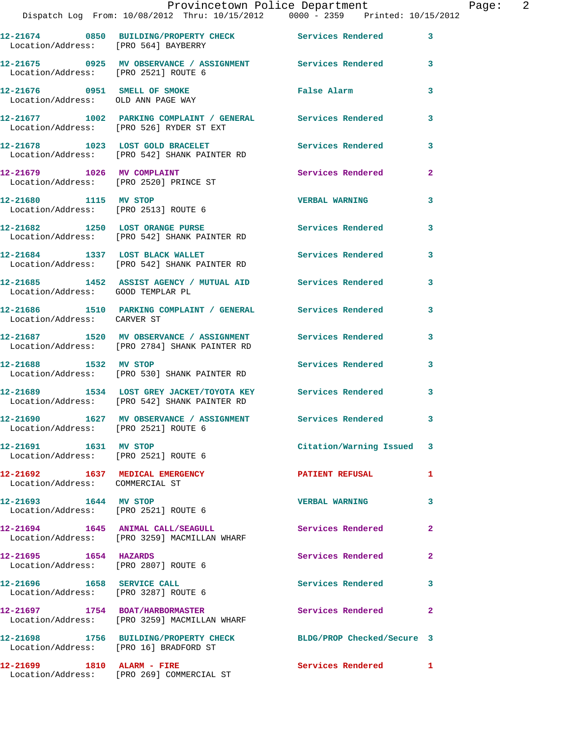| Location/Address: [PRO 564] BAYBERRY                                 | 12-21674 0850 BUILDING/PROPERTY CHECK Services Rendered                                                     |                            | 3                       |
|----------------------------------------------------------------------|-------------------------------------------------------------------------------------------------------------|----------------------------|-------------------------|
| Location/Address: [PRO 2521] ROUTE 6                                 | 12-21675 0925 MV OBSERVANCE / ASSIGNMENT Services Rendered                                                  |                            | $\mathbf{3}$            |
| 12-21676 0951 SMELL OF SMOKE<br>Location/Address: OLD ANN PAGE WAY   |                                                                                                             | False Alarm                | 3                       |
|                                                                      | 12-21677 1002 PARKING COMPLAINT / GENERAL Services Rendered<br>Location/Address: [PRO 526] RYDER ST EXT     |                            | 3                       |
|                                                                      | 12-21678 1023 LOST GOLD BRACELET<br>Location/Address: [PRO 542] SHANK PAINTER RD                            | Services Rendered          | 3                       |
| 12-21679 1026 MV COMPLAINT<br>Location/Address: [PRO 2520] PRINCE ST |                                                                                                             | Services Rendered          | $\mathbf{2}$            |
| 12-21680 1115 MV STOP                                                | Location/Address: [PRO 2513] ROUTE 6                                                                        | <b>VERBAL WARNING</b>      | 3                       |
|                                                                      | 12-21682 1250 LOST ORANGE PURSE<br>Location/Address: [PRO 542] SHANK PAINTER RD                             | Services Rendered          | 3                       |
| 12-21684 1337 LOST BLACK WALLET                                      | Location/Address: [PRO 542] SHANK PAINTER RD                                                                | Services Rendered          | 3                       |
| Location/Address: GOOD TEMPLAR PL                                    | 12-21685 1452 ASSIST AGENCY / MUTUAL AID Services Rendered                                                  |                            | 3                       |
| Location/Address: CARVER ST                                          | 12-21686 1510 PARKING COMPLAINT / GENERAL Services Rendered                                                 |                            | 3                       |
|                                                                      | 12-21687 1520 MV OBSERVANCE / ASSIGNMENT<br>Location/Address: [PRO 2784] SHANK PAINTER RD                   | <b>Services Rendered</b>   | 3                       |
| 12-21688 1532 MV STOP                                                | Location/Address: [PRO 530] SHANK PAINTER RD                                                                | Services Rendered          | 3                       |
|                                                                      | 12-21689 1534 LOST GREY JACKET/TOYOTA KEY Services Rendered<br>Location/Address: [PRO 542] SHANK PAINTER RD |                            | 3                       |
| Location/Address: [PRO 2521] ROUTE 6                                 | 12-21690 1627 MV OBSERVANCE / ASSIGNMENT Services Rendered                                                  |                            | $\overline{\mathbf{3}}$ |
| 12-21691 1631 MV STOP<br>Location/Address: [PRO 2521] ROUTE 6        |                                                                                                             | Citation/Warning Issued 3  |                         |
| 12-21692 1637 MEDICAL EMERGENCY<br>Location/Address: COMMERCIAL ST   |                                                                                                             | <b>PATIENT REFUSAL</b>     | 1.                      |
| 12-21693 1644 MV STOP<br>Location/Address: [PRO 2521] ROUTE 6        |                                                                                                             | <b>VERBAL WARNING</b>      | 3                       |
| 12-21694 1645 ANIMAL CALL/SEAGULL                                    | Location/Address: [PRO 3259] MACMILLAN WHARF                                                                | Services Rendered          | $\mathbf{2}$            |
| 12-21695 1654 HAZARDS<br>Location/Address: [PRO 2807] ROUTE 6        |                                                                                                             | Services Rendered          | $\mathbf{2}$            |
| 12-21696 1658 SERVICE CALL<br>Location/Address: [PRO 3287] ROUTE 6   |                                                                                                             | Services Rendered 3        |                         |
|                                                                      | 12-21697 1754 BOAT/HARBORMASTER<br>Location/Address: [PRO 3259] MACMILLAN WHARF                             | Services Rendered          | $\mathbf{2}$            |
| Location/Address: [PRO 16] BRADFORD ST                               | 12-21698 1756 BUILDING/PROPERTY CHECK                                                                       | BLDG/PROP Checked/Secure 3 |                         |
| 12-21699 1810 ALARM - FIRE                                           | Location/Address: [PRO 269] COMMERCIAL ST                                                                   | Services Rendered          | $\blacksquare$          |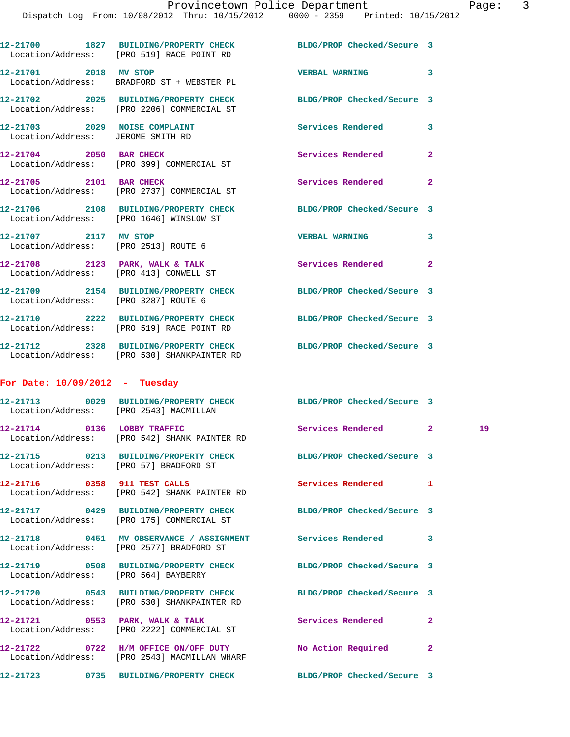|                                                                    | 12-21700 1827 BUILDING/PROPERTY CHECK BLDG/PROP Checked/Secure 3<br>Location/Address: [PRO 519] RACE POINT RD |                            |              |    |
|--------------------------------------------------------------------|---------------------------------------------------------------------------------------------------------------|----------------------------|--------------|----|
| 12-21701 2018 MV STOP                                              | Location/Address: BRADFORD ST + WEBSTER PL                                                                    | <b>VERBAL WARNING</b>      | 3            |    |
|                                                                    | 12-21702 2025 BUILDING/PROPERTY CHECK<br>Location/Address: [PRO 2206] COMMERCIAL ST                           | BLDG/PROP Checked/Secure 3 |              |    |
| 12-21703 2029 NOISE COMPLAINT<br>Location/Address: JEROME SMITH RD |                                                                                                               | <b>Services Rendered</b>   | 3            |    |
|                                                                    | 12-21704 2050 BAR CHECK<br>Location/Address: [PRO 399] COMMERCIAL ST                                          | Services Rendered          | $\mathbf{2}$ |    |
| 12-21705 2101 BAR CHECK                                            | Location/Address: [PRO 2737] COMMERCIAL ST                                                                    | Services Rendered          | $\mathbf{2}$ |    |
|                                                                    | 12-21706 2108 BUILDING/PROPERTY CHECK BLDG/PROP Checked/Secure 3<br>Location/Address: [PRO 1646] WINSLOW ST   |                            |              |    |
| 12-21707 2117 MV STOP                                              | Location/Address: [PRO 2513] ROUTE 6                                                                          | <b>VERBAL WARNING</b>      | 3            |    |
|                                                                    | 12-21708 2123 PARK, WALK & TALK<br>Location/Address: [PRO 413] CONWELL ST                                     | Services Rendered          | $\mathbf{2}$ |    |
|                                                                    | 12-21709 2154 BUILDING/PROPERTY CHECK<br>Location/Address: [PRO 3287] ROUTE 6                                 | BLDG/PROP Checked/Secure 3 |              |    |
|                                                                    | 12-21710 2222 BUILDING/PROPERTY CHECK<br>Location/Address: [PRO 519] RACE POINT RD                            | BLDG/PROP Checked/Secure 3 |              |    |
|                                                                    | 12-21712 2328 BUILDING/PROPERTY CHECK<br>Location/Address: [PRO 530] SHANKPAINTER RD                          | BLDG/PROP Checked/Secure 3 |              |    |
| For Date: $10/09/2012$ - Tuesday                                   |                                                                                                               |                            |              |    |
|                                                                    | 12-21713 0029 BUILDING/PROPERTY CHECK BLDG/PROP Checked/Secure 3<br>Location/Address: [PRO 2543] MACMILLAN    |                            |              |    |
|                                                                    | 12-21714 0136 LOBBY TRAFFIC<br>Location/Address: [PRO 542] SHANK PAINTER RD                                   | Services Rendered 2        |              | 19 |
|                                                                    | 12-21715 0213 BUILDING/PROPERTY CHECK BLDG/PROP Checked/Secure 3<br>Location/Address: [PRO 57] BRADFORD ST    |                            |              |    |
|                                                                    | 12-21716 0358 911 TEST CALLS<br>Location/Address: [PRO 542] SHANK PAINTER RD                                  | <b>Services Rendered</b>   | 1            |    |
|                                                                    | 12-21717 0429 BUILDING/PROPERTY CHECK BLDG/PROP Checked/Secure 3<br>Location/Address: [PRO 175] COMMERCIAL ST |                            |              |    |
|                                                                    | 12-21718 0451 MV OBSERVANCE / ASSIGNMENT Services Rendered<br>Location/Address: [PRO 2577] BRADFORD ST        |                            | 3            |    |
| Location/Address: [PRO 564] BAYBERRY                               | 12-21719 0508 BUILDING/PROPERTY CHECK BLDG/PROP Checked/Secure 3                                              |                            |              |    |
|                                                                    | 12-21720 0543 BUILDING/PROPERTY CHECK<br>Location/Address: [PRO 530] SHANKPAINTER RD                          | BLDG/PROP Checked/Secure 3 |              |    |
| 12-21721 0553 PARK, WALK & TALK                                    | Location/Address: [PRO 2222] COMMERCIAL ST                                                                    | Services Rendered          | $\mathbf{2}$ |    |
|                                                                    | 12-21722 0722 H/M OFFICE ON/OFF DUTY<br>Location/Address: [PRO 2543] MACMILLAN WHARF                          | No Action Required         | $\mathbf{2}$ |    |
|                                                                    |                                                                                                               |                            |              |    |

**12-21723 0735 BUILDING/PROPERTY CHECK BLDG/PROP Checked/Secure 3**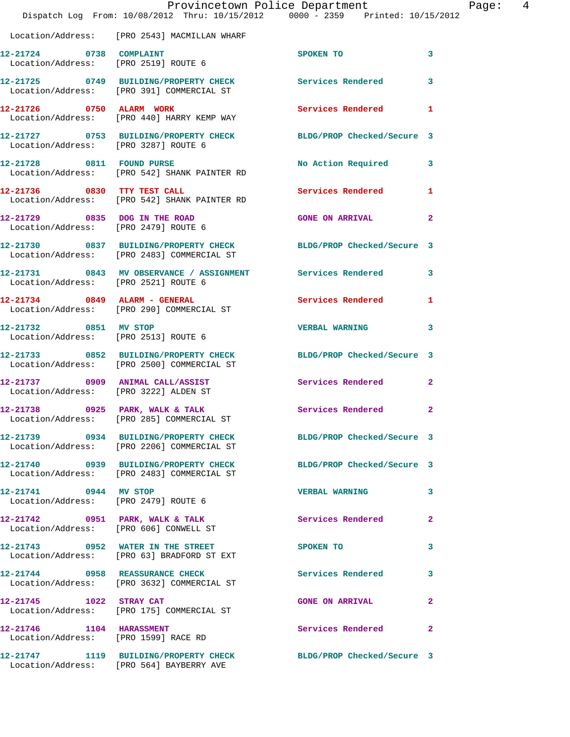|                                       | Provincetown Police Department<br>Dispatch Log From: 10/08/2012 Thru: 10/15/2012 0000 - 2359 Printed: 10/15/2012 |                            |                         |
|---------------------------------------|------------------------------------------------------------------------------------------------------------------|----------------------------|-------------------------|
|                                       | Location/Address: [PRO 2543] MACMILLAN WHARF                                                                     |                            |                         |
| 12-21724 0738 COMPLAINT               | Location/Address: [PRO 2519] ROUTE 6                                                                             | SPOKEN TO                  | 3                       |
|                                       | 12-21725 0749 BUILDING/PROPERTY CHECK Services Rendered<br>Location/Address: [PRO 391] COMMERCIAL ST             |                            | 3                       |
|                                       | 12-21726 0750 ALARM WORK<br>Location/Address: [PRO 440] HARRY KEMP WAY                                           | Services Rendered          | 1                       |
| Location/Address: [PRO 3287] ROUTE 6  | 12-21727 0753 BUILDING/PROPERTY CHECK BLDG/PROP Checked/Secure 3                                                 |                            |                         |
|                                       | 12-21728 0811 FOUND PURSE<br>Location/Address: [PRO 542] SHANK PAINTER RD                                        | No Action Required         | 3                       |
|                                       | 12-21736 0830 TTY TEST CALL<br>Location/Address: [PRO 542] SHANK PAINTER RD                                      | <b>Services Rendered</b>   | 1                       |
| Location/Address: [PRO 2479] ROUTE 6  | 12-21729 0835 DOG IN THE ROAD                                                                                    | <b>GONE ON ARRIVAL</b>     | $\overline{\mathbf{2}}$ |
|                                       | 12-21730 0837 BUILDING/PROPERTY CHECK BLDG/PROP Checked/Secure 3<br>Location/Address: [PRO 2483] COMMERCIAL ST   |                            |                         |
| Location/Address: [PRO 2521] ROUTE 6  | 12-21731 0843 MV OBSERVANCE / ASSIGNMENT Services Rendered                                                       |                            | 3                       |
|                                       | $12-21734$ 0849 ALARM - GENERAL<br>Location/Address: [PRO 290] COMMERCIAL ST                                     | Services Rendered          | 1                       |
| 12-21732 0851 MV STOP                 | Location/Address: [PRO 2513] ROUTE 6                                                                             | <b>VERBAL WARNING</b>      | 3                       |
|                                       | 12-21733 0852 BUILDING/PROPERTY CHECK<br>Location/Address: [PRO 2500] COMMERCIAL ST                              | BLDG/PROP Checked/Secure 3 |                         |
| Location/Address: [PRO 3222] ALDEN ST | 12-21737 0909 ANIMAL CALL/ASSIST                                                                                 | <b>Services Rendered</b>   | $\overline{\mathbf{2}}$ |
| 12-21738 0925 PARK, WALK & TALK       | Location/Address: [PRO 285] COMMERCIAL ST                                                                        | Services Rendered          | $\overline{\mathbf{2}}$ |
|                                       | 12-21739 0934 BUILDING/PROPERTY CHECK<br>Location/Address: [PRO 2206] COMMERCIAL ST                              | BLDG/PROP Checked/Secure 3 |                         |
|                                       | 12-21740 0939 BUILDING/PROPERTY CHECK<br>Location/Address: [PRO 2483] COMMERCIAL ST                              | BLDG/PROP Checked/Secure 3 |                         |
| 12-21741 0944 MV STOP                 | Location/Address: [PRO 2479] ROUTE 6                                                                             | <b>VERBAL WARNING</b>      | 3                       |
|                                       | 12-21742 0951 PARK, WALK & TALK<br>Location/Address: [PRO 606] CONWELL ST                                        | Services Rendered          | $\mathbf{2}$            |
|                                       | 12-21743 0952 WATER IN THE STREET<br>Location/Address: [PRO 63] BRADFORD ST EXT                                  | SPOKEN TO                  | 3                       |
|                                       | 12-21744 0958 REASSURANCE CHECK<br>Location/Address: [PRO 3632] COMMERCIAL ST                                    | Services Rendered          | 3                       |
| 12-21745 1022 STRAY CAT               | Location/Address: [PRO 175] COMMERCIAL ST                                                                        | <b>GONE ON ARRIVAL</b>     | 2                       |
| Location/Address: [PRO 1599] RACE RD  |                                                                                                                  | Services Rendered          | $\mathbf{2}$            |
|                                       | 12-21747 1119 BUILDING/PROPERTY CHECK<br>Location/Address: [PRO 564] BAYBERRY AVE                                | BLDG/PROP Checked/Secure 3 |                         |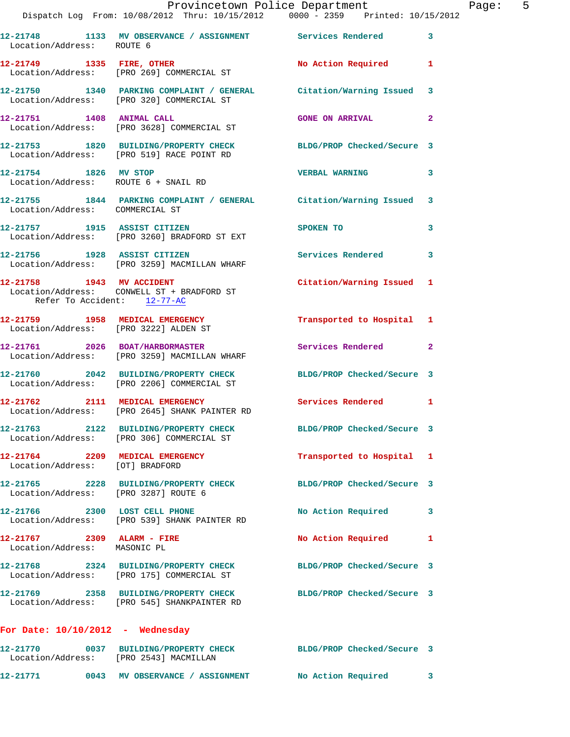|                                                            | Provincetown Police Department The Page: 5<br>Dispatch Log From: 10/08/2012 Thru: 10/15/2012  0000 - 2359  Printed: 10/15/2012 |                            |              |
|------------------------------------------------------------|--------------------------------------------------------------------------------------------------------------------------------|----------------------------|--------------|
| Location/Address: ROUTE 6                                  | 12-21748 1133 MV OBSERVANCE / ASSIGNMENT Services Rendered 3                                                                   |                            |              |
|                                                            | 12-21749 1335 FIRE, OTHER<br>Location/Address: [PRO 269] COMMERCIAL ST                                                         | No Action Required 1       |              |
|                                                            | 12-21750 1340 PARKING COMPLAINT / GENERAL Citation/Warning Issued 3<br>Location/Address: [PRO 320] COMMERCIAL ST               |                            |              |
|                                                            | 12-21751 1408 ANIMAL CALL GONE ON ARRIVAL<br>Location/Address: [PRO 3628] COMMERCIAL ST                                        |                            | $\mathbf{2}$ |
|                                                            | 12-21753 1820 BUILDING/PROPERTY CHECK BLDG/PROP Checked/Secure 3<br>Location/Address: [PRO 519] RACE POINT RD                  |                            |              |
|                                                            | 12-21754 1826 MV STOP<br>Location/Address: ROUTE 6 + SNAIL RD                                                                  | <b>VERBAL WARNING</b>      | 3            |
| Location/Address: COMMERCIAL ST                            | 12-21755 1844 PARKING COMPLAINT / GENERAL Citation/Warning Issued 3                                                            |                            |              |
|                                                            | 12-21757 1915 ASSIST CITIZEN<br>Location/Address: [PRO 3260] BRADFORD ST EXT                                                   | SPOKEN TO                  | 3            |
|                                                            | 12-21756 1928 ASSIST CITIZEN<br>Location/Address: [PRO 3259] MACMILLAN WHARF                                                   | Services Rendered 3        |              |
| Refer To Accident: 12-77-AC                                | 12-21758 1943 MV ACCIDENT Citation/Warning Issued 1<br>Location/Address: CONWELL ST + BRADFORD ST                              |                            |              |
| Location/Address: [PRO 3222] ALDEN ST                      | 12-21759 1958 MEDICAL EMERGENCY 1 Transported to Hospital 1                                                                    |                            |              |
|                                                            | 12-21761 2026 BOAT/HARBORMASTER<br>Location/Address: [PRO 3259] MACMILLAN WHARF                                                | Services Rendered 2        |              |
|                                                            | 12-21760 2042 BUILDING/PROPERTY CHECK BLDG/PROP Checked/Secure 3<br>Location/Address: [PRO 2206] COMMERCIAL ST                 |                            |              |
|                                                            | 12-21762 2111 MEDICAL EMERGENCY Services Rendered 1<br>Location/Address: [PRO 2645] SHANK PAINTER RD                           |                            |              |
|                                                            | 12-21763 2122 BUILDING/PROPERTY CHECK BLDG/PROP Checked/Secure 3<br>Location/Address: [PRO 306] COMMERCIAL ST                  |                            |              |
| Location/Address: [OT] BRADFORD                            | 12-21764 2209 MEDICAL EMERGENCY                                                                                                | Transported to Hospital 1  |              |
| Location/Address: [PRO 3287] ROUTE 6                       | 12-21765 2228 BUILDING/PROPERTY CHECK BLDG/PROP Checked/Secure 3                                                               |                            |              |
|                                                            | 12-21766 2300 LOST CELL PHONE<br>Location/Address: [PRO 539] SHANK PAINTER RD                                                  | No Action Required         | 3            |
| 12-21767 2309 ALARM - FIRE<br>Location/Address: MASONIC PL |                                                                                                                                | No Action Required         | 1            |
|                                                            | 12-21768 2324 BUILDING/PROPERTY CHECK<br>Location/Address: [PRO 175] COMMERCIAL ST                                             | BLDG/PROP Checked/Secure 3 |              |
|                                                            | 12-21769 2358 BUILDING/PROPERTY CHECK BLDG/PROP Checked/Secure 3<br>Location/Address: [PRO 545] SHANKPAINTER RD                |                            |              |
| For Date: $10/10/2012$ - Wednesday                         |                                                                                                                                |                            |              |
| Location/Address: [PRO 2543] MACMILLAN                     | 12-21770 0037 BUILDING/PROPERTY CHECK BLDG/PROP Checked/Secure 3                                                               |                            |              |

**12-21771 0043 MV OBSERVANCE / ASSIGNMENT No Action Required 3**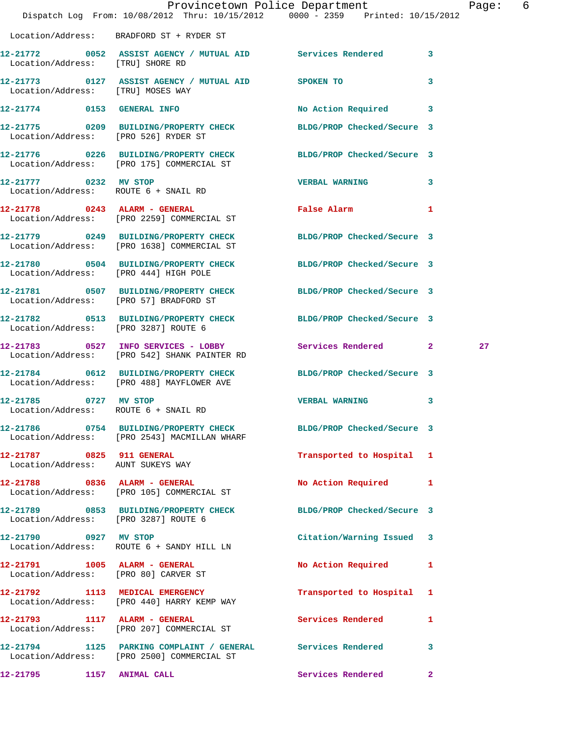|                                                               |                                                                                                                  | Provincetown Police Department<br>Dispatch Log From: 10/08/2012 Thru: 10/15/2012 0000 - 2359 Printed: 10/15/2012 | Page: 6 |
|---------------------------------------------------------------|------------------------------------------------------------------------------------------------------------------|------------------------------------------------------------------------------------------------------------------|---------|
|                                                               |                                                                                                                  |                                                                                                                  |         |
|                                                               | Location/Address: BRADFORD ST + RYDER ST                                                                         |                                                                                                                  |         |
| Location/Address: [TRU] SHORE RD                              |                                                                                                                  | 12-21772 0052 ASSIST AGENCY / MUTUAL AID Services Rendered 3                                                     |         |
| Location/Address: [TRU] MOSES WAY                             | 12-21773 0127 ASSIST AGENCY / MUTUAL AID SPOKEN TO                                                               | 3                                                                                                                |         |
|                                                               | 12-21774 0153 GENERAL INFO                                                                                       | No Action Required 3                                                                                             |         |
|                                                               | 12-21775 0209 BUILDING/PROPERTY CHECK BLDG/PROP Checked/Secure 3<br>Location/Address: [PRO 526] RYDER ST         |                                                                                                                  |         |
|                                                               | 12-21776 0226 BUILDING/PROPERTY CHECK BLDG/PROP Checked/Secure 3<br>Location/Address: [PRO 175] COMMERCIAL ST    |                                                                                                                  |         |
|                                                               | 12-21777 0232 MV STOP<br>Location/Address: ROUTE 6 + SNAIL RD                                                    | VERBAL WARNING 3                                                                                                 |         |
|                                                               | 12-21778 0243 ALARM - GENERAL<br>Location/Address: [PRO 2259] COMMERCIAL ST                                      | False Alarm 1                                                                                                    |         |
|                                                               | 12-21779 0249 BUILDING/PROPERTY CHECK BLDG/PROP Checked/Secure 3<br>Location/Address: [PRO 1638] COMMERCIAL ST   |                                                                                                                  |         |
|                                                               | 12-21780 0504 BUILDING/PROPERTY CHECK BLDG/PROP Checked/Secure 3<br>Location/Address: [PRO 444] HIGH POLE        |                                                                                                                  |         |
|                                                               |                                                                                                                  | 12-21781 0507 BUILDING/PROPERTY CHECK BLDG/PROP Checked/Secure 3<br>Location/Address: [PRO 57] BRADFORD ST       |         |
|                                                               |                                                                                                                  | 12-21782 0513 BUILDING/PROPERTY CHECK BLDG/PROP Checked/Secure 3<br>Location/Address: [PRO 3287] ROUTE 6         |         |
|                                                               | 12-21783 0527 INFO SERVICES - LOBBY<br>Location/Address: [PRO 542] SHANK PAINTER RD                              | Services Rendered 2                                                                                              | 27      |
|                                                               | 12-21784 0612 BUILDING/PROPERTY CHECK BLDG/PROP Checked/Secure 3<br>Location/Address: [PRO 488] MAYFLOWER AVE    |                                                                                                                  |         |
| 12-21785 0727 MV STOP<br>Location/Address: ROUTE 6 + SNAIL RD |                                                                                                                  | <b>VERBAL WARNING</b><br>$\mathbf{3}$                                                                            |         |
|                                                               | 12-21786 0754 BUILDING/PROPERTY CHECK BLDG/PROP Checked/Secure 3<br>Location/Address: [PRO 2543] MACMILLAN WHARF |                                                                                                                  |         |
|                                                               | 12-21787 0825 911 GENERAL<br>Location/Address: AUNT SUKEYS WAY                                                   | Transported to Hospital 1                                                                                        |         |
|                                                               | 12-21788 0836 ALARM - GENERAL<br>Location/Address: [PRO 105] COMMERCIAL ST                                       | No Action Required 1                                                                                             |         |
| Location/Address: [PRO 3287] ROUTE 6                          | 12-21789 0853 BUILDING/PROPERTY CHECK                                                                            | BLDG/PROP Checked/Secure 3                                                                                       |         |
| 12-21790 0927 MV STOP                                         | Location/Address: ROUTE 6 + SANDY HILL LN                                                                        | Citation/Warning Issued 3                                                                                        |         |
|                                                               | 12-21791 1005 ALARM - GENERAL<br>Location/Address: [PRO 80] CARVER ST                                            | No Action Required<br>$\mathbf{1}$                                                                               |         |
|                                                               | 12-21792 1113 MEDICAL EMERGENCY<br>Location/Address: [PRO 440] HARRY KEMP WAY                                    | Transported to Hospital 1                                                                                        |         |
|                                                               | 12-21793 1117 ALARM - GENERAL<br>Location/Address: [PRO 207] COMMERCIAL ST                                       | Services Rendered<br>1                                                                                           |         |
|                                                               | 12-21794 1125 PARKING COMPLAINT / GENERAL Services Rendered<br>Location/Address: [PRO 2500] COMMERCIAL ST        | 3                                                                                                                |         |
| 12-21795 1157 ANIMAL CALL                                     |                                                                                                                  | Services Rendered<br>$\mathbf{2}$                                                                                |         |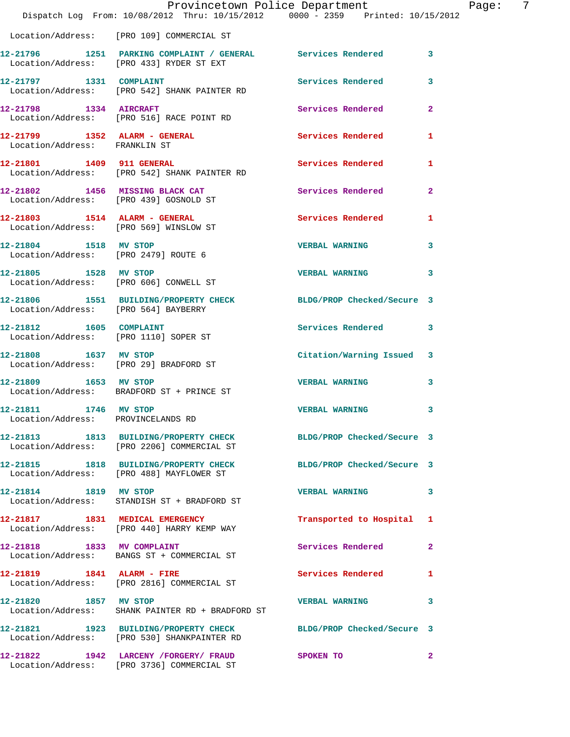|                                                               | Dispatch Log From: 10/08/2012 Thru: 10/15/2012 0000 - 2359 Printed: 10/15/2012                                  | Provincetown Police Department | -7<br>Page:  |
|---------------------------------------------------------------|-----------------------------------------------------------------------------------------------------------------|--------------------------------|--------------|
|                                                               | Location/Address: [PRO 109] COMMERCIAL ST                                                                       |                                |              |
|                                                               | 12-21796 1251 PARKING COMPLAINT / GENERAL Services Rendered 3<br>Location/Address: [PRO 433] RYDER ST EXT       |                                |              |
|                                                               | 12-21797 1331 COMPLAINT<br>Location/Address: [PRO 542] SHANK PAINTER RD                                         | Services Rendered              | 3            |
| 12-21798 1334 AIRCRAFT                                        | Location/Address: [PRO 516] RACE POINT RD                                                                       | Services Rendered 2            |              |
| Location/Address: FRANKLIN ST                                 | 12-21799 1352 ALARM - GENERAL                                                                                   | Services Rendered              | 1            |
|                                                               | 12-21801 1409 911 GENERAL<br>Location/Address: [PRO 542] SHANK PAINTER RD                                       | Services Rendered 1            |              |
|                                                               | 12-21802 1456 MISSING BLACK CAT<br>Location/Address: [PRO 439] GOSNOLD ST                                       | Services Rendered              | $\mathbf{2}$ |
|                                                               | 12-21803 1514 ALARM - GENERAL<br>Location/Address: [PRO 569] WINSLOW ST                                         | Services Rendered              | 1            |
| 12-21804 1518 MV STOP<br>Location/Address: [PRO 2479] ROUTE 6 |                                                                                                                 | <b>VERBAL WARNING</b>          | 3            |
| 12-21805 1528 MV STOP                                         | Location/Address: [PRO 606] CONWELL ST                                                                          | <b>VERBAL WARNING</b>          | 3            |
| Location/Address: [PRO 564] BAYBERRY                          | 12-21806 1551 BUILDING/PROPERTY CHECK BLDG/PROP Checked/Secure 3                                                |                                |              |
| 12-21812 1605 COMPLAINT                                       | Location/Address: [PRO 1110] SOPER ST                                                                           | Services Rendered              | 3            |
|                                                               | 12-21808 1637 MV STOP<br>Location/Address: [PRO 29] BRADFORD ST                                                 | Citation/Warning Issued 3      |              |
| 12-21809 1653 MV STOP                                         | Location/Address: BRADFORD ST + PRINCE ST                                                                       | <b>VERBAL WARNING</b>          | 3            |
| 12-21811 1746 MV STOP<br>Location/Address: PROVINCELANDS RD   |                                                                                                                 | <b>VERBAL WARNING</b>          | 3            |
|                                                               | 12-21813 1813 BUILDING/PROPERTY CHECK BLDG/PROP Checked/Secure 3<br>Location/Address: [PRO 2206] COMMERCIAL ST  |                                |              |
|                                                               | 12-21815 1818 BUILDING/PROPERTY CHECK<br>Location/Address: [PRO 488] MAYFLOWER ST                               | BLDG/PROP Checked/Secure 3     |              |
| 12-21814 1819 MV STOP                                         | Location/Address: STANDISH ST + BRADFORD ST                                                                     | VERBAL WARNING 3               |              |
|                                                               | 12-21817 1831 MEDICAL EMERGENCY<br>Location/Address: [PRO 440] HARRY KEMP WAY                                   | Transported to Hospital 1      |              |
| 12-21818 1833 MV COMPLAINT                                    | Location/Address: BANGS ST + COMMERCIAL ST                                                                      | Services Rendered              | $\mathbf{2}$ |
|                                                               | 12-21819 1841 ALARM - FIRE<br>Location/Address: [PRO 2816] COMMERCIAL ST                                        | Services Rendered 1            |              |
| 12-21820 1857 MV STOP                                         | Location/Address: SHANK PAINTER RD + BRADFORD ST                                                                | <b>VERBAL WARNING</b>          | 3            |
|                                                               | 12-21821 1923 BUILDING/PROPERTY CHECK BLDG/PROP Checked/Secure 3<br>Location/Address: [PRO 530] SHANKPAINTER RD |                                |              |
|                                                               | 12-21822 1942 LARCENY / FORGERY / FRAUD<br>Location/Address: [PRO 3736] COMMERCIAL ST                           | SPOKEN TO                      | $\mathbf{2}$ |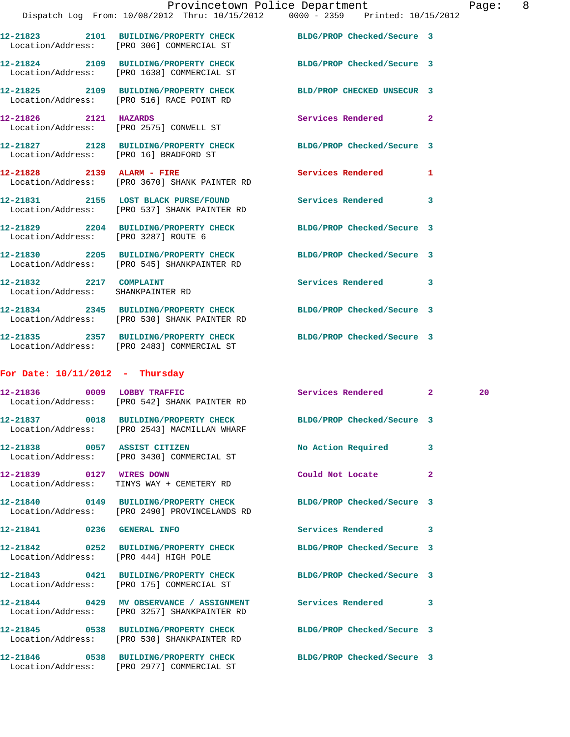|                                                              |                                                                                                                  | Provincetown Police Department | 8 <sup>8</sup><br>Page: |
|--------------------------------------------------------------|------------------------------------------------------------------------------------------------------------------|--------------------------------|-------------------------|
|                                                              | Dispatch Log From: 10/08/2012 Thru: 10/15/2012 0000 - 2359 Printed: 10/15/2012                                   |                                |                         |
|                                                              | 12-21823 2101 BUILDING/PROPERTY CHECK BLDG/PROP Checked/Secure 3<br>Location/Address: [PRO 306] COMMERCIAL ST    |                                |                         |
|                                                              | 12-21824 2109 BUILDING/PROPERTY CHECK BLDG/PROP Checked/Secure 3<br>Location/Address: [PRO 1638] COMMERCIAL ST   |                                |                         |
|                                                              | 12-21825 2109 BUILDING/PROPERTY CHECK BLD/PROP CHECKED UNSECUR 3<br>Location/Address: [PRO 516] RACE POINT RD    |                                |                         |
|                                                              | 12-21826 2121 HAZARDS<br>Location/Address: [PRO 2575] CONWELL ST                                                 | Services Rendered 2            |                         |
| Location/Address: [PRO 16] BRADFORD ST                       | 12-21827 2128 BUILDING/PROPERTY CHECK BLDG/PROP Checked/Secure 3                                                 |                                |                         |
|                                                              | 12-21828 2139 ALARM - FIRE<br>Location/Address: [PRO 3670] SHANK PAINTER RD                                      | Services Rendered 1            |                         |
|                                                              | 12-21831 2155 LOST BLACK PURSE/FOUND Services Rendered<br>Location/Address: [PRO 537] SHANK PAINTER RD           |                                | 3                       |
| Location/Address: [PRO 3287] ROUTE 6                         | 12-21829 2204 BUILDING/PROPERTY CHECK BLDG/PROP Checked/Secure 3                                                 |                                |                         |
|                                                              | 12-21830 2205 BUILDING/PROPERTY CHECK BLDG/PROP Checked/Secure 3<br>Location/Address: [PRO 545] SHANKPAINTER RD  |                                |                         |
| 12-21832 2217 COMPLAINT<br>Location/Address: SHANKPAINTER RD |                                                                                                                  | Services Rendered 3            |                         |
|                                                              | 12-21834 2345 BUILDING/PROPERTY CHECK BLDG/PROP Checked/Secure 3<br>Location/Address: [PRO 530] SHANK PAINTER RD |                                |                         |
|                                                              | 12-21835 2357 BUILDING/PROPERTY CHECK BLDG/PROP Checked/Secure 3<br>Location/Address: [PRO 2483] COMMERCIAL ST   |                                |                         |

## **For Date: 10/11/2012 - Thursday**

|                            | 12-21836 0009 LOBBY TRAFFIC<br>Location/Address: [PRO 542] SHANK PAINTER RD                                       | Services Rendered 2      |                         | 20 |
|----------------------------|-------------------------------------------------------------------------------------------------------------------|--------------------------|-------------------------|----|
|                            | 12-21837 0018 BUILDING/PROPERTY CHECK BLDG/PROP Checked/Secure 3<br>Location/Address: [PRO 2543] MACMILLAN WHARF  |                          |                         |    |
|                            | 12-21838 0057 ASSIST CITIZEN<br>Location/Address: [PRO 3430] COMMERCIAL ST                                        | No Action Required       | 3                       |    |
|                            | 12-21839 0127 WIRES DOWN<br>Location/Address: TINYS WAY + CEMETERY RD                                             | Could Not Locate         | $\overline{2}$          |    |
|                            | 12-21840 0149 BUILDING/PROPERTY CHECK BLDG/PROP Checked/Secure 3<br>Location/Address: [PRO 2490] PROVINCELANDS RD |                          |                         |    |
| 12-21841 0236 GENERAL INFO |                                                                                                                   | <b>Services Rendered</b> | $\overline{\mathbf{3}}$ |    |
|                            | 12-21842 0252 BUILDING/PROPERTY CHECK BLDG/PROP Checked/Secure 3<br>Location/Address: [PRO 444] HIGH POLE         |                          |                         |    |
|                            | 12-21843 0421 BUILDING/PROPERTY CHECK BLDG/PROP Checked/Secure 3<br>Location/Address: [PRO 175] COMMERCIAL ST     |                          |                         |    |
|                            | 12-21844 0429 MV OBSERVANCE / ASSIGNMENT Services Rendered<br>Location/Address: [PRO 3257] SHANKPAINTER RD        |                          | $\overline{\mathbf{3}}$ |    |
|                            | 12-21845 0538 BUILDING/PROPERTY CHECK BLDG/PROP Checked/Secure 3<br>Location/Address: [PRO 530] SHANKPAINTER RD   |                          |                         |    |
|                            | 12-21846 0538 BUILDING/PROPERTY CHECK BLDG/PROP Checked/Secure 3<br>Location/Address: [PRO 2977] COMMERCIAL ST    |                          |                         |    |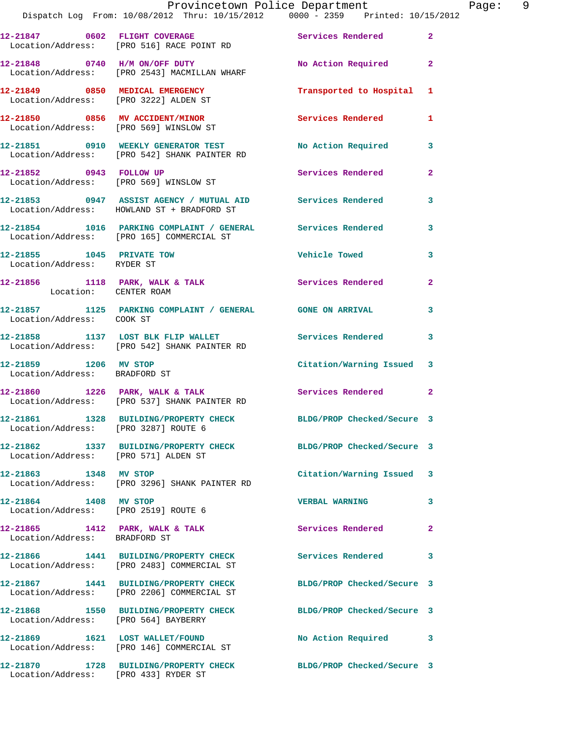|                                                                          | Provincetown Police Department<br>Dispatch Log From: 10/08/2012 Thru: 10/15/2012 0000 - 2359 Printed: 10/15/2012 |                            |                |
|--------------------------------------------------------------------------|------------------------------------------------------------------------------------------------------------------|----------------------------|----------------|
|                                                                          | 12-21847 0602 FLIGHT COVERAGE<br>Location/Address: [PRO 516] RACE POINT RD                                       | Services Rendered          | $\mathbf{2}$   |
|                                                                          | 12-21848 0740 H/M ON/OFF DUTY<br>Location/Address: [PRO 2543] MACMILLAN WHARF                                    | No Action Required         | $\mathbf{2}$   |
| 12-21849 0850 MEDICAL EMERGENCY<br>Location/Address: [PRO 3222] ALDEN ST |                                                                                                                  | Transported to Hospital    | 1              |
|                                                                          | 12-21850 0856 MV ACCIDENT/MINOR<br>Location/Address: [PRO 569] WINSLOW ST                                        | <b>Services Rendered</b>   | 1              |
|                                                                          | 12-21851 0910 WEEKLY GENERATOR TEST<br>Location/Address: [PRO 542] SHANK PAINTER RD                              | No Action Required         | 3              |
| 12-21852 0943 FOLLOW UP                                                  | Location/Address: [PRO 569] WINSLOW ST                                                                           | <b>Services Rendered</b>   | $\overline{a}$ |
|                                                                          | 12-21853 0947 ASSIST AGENCY / MUTUAL AID Services Rendered<br>Location/Address: HOWLAND ST + BRADFORD ST         |                            | 3              |
|                                                                          | 12-21854 1016 PARKING COMPLAINT / GENERAL Services Rendered<br>Location/Address: [PRO 165] COMMERCIAL ST         |                            | 3              |
| 12-21855 1045 PRIVATE TOW<br>Location/Address: RYDER ST                  |                                                                                                                  | Vehicle Towed              | 3              |
| Location: CENTER ROAM                                                    | 12-21856 1118 PARK, WALK & TALK 5 Services Rendered                                                              |                            | $\overline{a}$ |
| Location/Address: COOK ST                                                | 12-21857 1125 PARKING COMPLAINT / GENERAL GONE ON ARRIVAL                                                        |                            | 3              |
|                                                                          | 12-21858 1137 LOST BLK FLIP WALLET<br>Location/Address: [PRO 542] SHANK PAINTER RD                               | Services Rendered          | 3              |
| 12-21859 1206 MV STOP<br>Location/Address: BRADFORD ST                   |                                                                                                                  | Citation/Warning Issued    | 3              |
|                                                                          | $12-21860$ 1226 PARK, WALK & TALK<br>Location/Address: [PRO 537] SHANK PAINTER RD                                | Services Rendered 2        |                |
| Location/Address: [PRO 3287] ROUTE 6                                     | 12-21861 1328 BUILDING/PROPERTY CHECK BLDG/PROP Checked/Secure 3                                                 |                            |                |
| Location/Address: [PRO 571] ALDEN ST                                     | 12-21862 1337 BUILDING/PROPERTY CHECK BLDG/PROP Checked/Secure 3                                                 |                            |                |
| 12-21863 1348 MV STOP                                                    | Location/Address: [PRO 3296] SHANK PAINTER RD                                                                    | Citation/Warning Issued    | 3              |
| 12-21864 1408 MV STOP<br>Location/Address: [PRO 2519] ROUTE 6            |                                                                                                                  | <b>VERBAL WARNING</b>      | 3              |
| Location/Address: BRADFORD ST                                            | $12-21865$ 1412 PARK, WALK & TALK                                                                                | Services Rendered          | $\overline{a}$ |
|                                                                          | 12-21866 1441 BUILDING/PROPERTY CHECK<br>Location/Address: [PRO 2483] COMMERCIAL ST                              | <b>Services Rendered</b>   | 3              |
|                                                                          | 12-21867 1441 BUILDING/PROPERTY CHECK<br>Location/Address: [PRO 2206] COMMERCIAL ST                              | BLDG/PROP Checked/Secure 3 |                |
| Location/Address: [PRO 564] BAYBERRY                                     | 12-21868 1550 BUILDING/PROPERTY CHECK                                                                            | BLDG/PROP Checked/Secure 3 |                |
|                                                                          | 12-21869 1621 LOST WALLET/FOUND<br>Location/Address: [PRO 146] COMMERCIAL ST                                     | No Action Required         | 3              |
|                                                                          | 12-21870      1728   BUILDING/PROPERTY CHECK        BLDG/PROP Checked/Secure 3                                   |                            |                |

Location/Address: [PRO 433] RYDER ST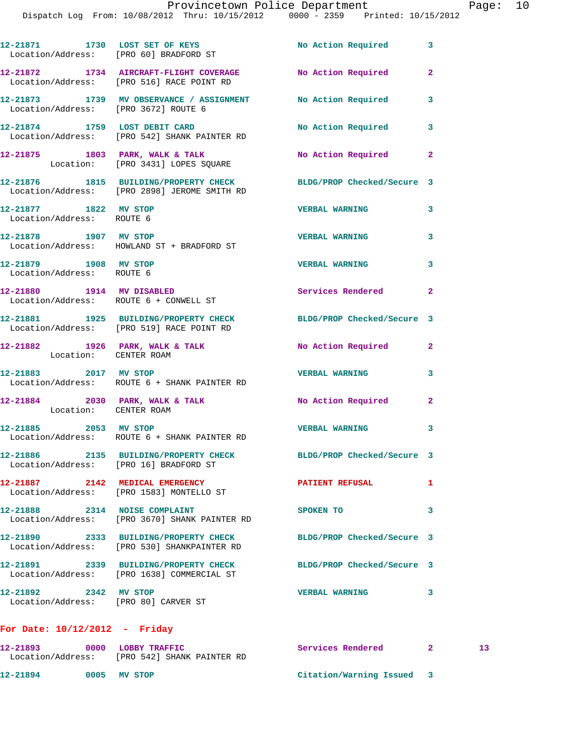|                                                               | Dispatch Log From: 10/08/2012 Thru: 10/15/2012 - 0000 - 2359 - Printed: 10/15/        |                            |                         |
|---------------------------------------------------------------|---------------------------------------------------------------------------------------|----------------------------|-------------------------|
|                                                               | 12-21871 1730 LOST SET OF KEYS<br>Location/Address: [PRO 60] BRADFORD ST              | No Action Required 3       |                         |
|                                                               | 12-21872 1734 AIRCRAFT-FLIGHT COVERAGE<br>Location/Address: [PRO 516] RACE POINT RD   | No Action Required         | $\mathbf{2}$            |
| Location/Address: [PRO 3672] ROUTE 6                          | 12-21873 1739 MV OBSERVANCE / ASSIGNMENT No Action Required 3                         |                            |                         |
|                                                               | 12-21874 1759 LOST DEBIT CARD<br>Location/Address: [PRO 542] SHANK PAINTER RD         | No Action Required         | $\overline{\mathbf{3}}$ |
|                                                               | 12-21875 1803 PARK, WALK & TALK<br>Location: [PRO 3431] LOPES SQUARE                  | No Action Required 2       |                         |
|                                                               | 12-21876 1815 BUILDING/PROPERTY CHECK<br>Location/Address: [PRO 2898] JEROME SMITH RD | BLDG/PROP Checked/Secure 3 |                         |
| 12-21877 1822 MV STOP<br>Location/Address: ROUTE 6            |                                                                                       | <b>VERBAL WARNING</b>      | 3                       |
| 12-21878 1907 MV STOP                                         | Location/Address: HOWLAND ST + BRADFORD ST                                            | <b>VERBAL WARNING</b>      | 3                       |
| 12-21879 1908 MV STOP<br>Location/Address: ROUTE 6            |                                                                                       | <b>VERBAL WARNING</b>      | $\overline{\mathbf{3}}$ |
| 12-21880 1914 MV DISABLED                                     | Location/Address: ROUTE 6 + CONWELL ST                                                | Services Rendered 2        |                         |
|                                                               | 12-21881 1925 BUILDING/PROPERTY CHECK<br>Location/Address: [PRO 519] RACE POINT RD    | BLDG/PROP Checked/Secure 3 |                         |
| Location: CENTER ROAM                                         | 12-21882 1926 PARK, WALK & TALK                                                       | No Action Required         | $\mathbf{2}$            |
|                                                               | 12-21883 2017 MV STOP<br>Location/Address: ROUTE 6 + SHANK PAINTER RD                 | <b>VERBAL WARNING</b>      | 3                       |
| Location: CENTER ROAM                                         | 12-21884 2030 PARK, WALK & TALK                                                       | No Action Required 2       |                         |
| 12-21885 2053 MV STOP                                         | Location/Address: ROUTE 6 + SHANK PAINTER RD                                          | <b>VERBAL WARNING</b>      | 3                       |
| Location/Address: [PRO 16] BRADFORD ST                        | 12-21886  2135 BUILDING/PROPERTY CHECK                                                | BLDG/PROP Checked/Secure 3 |                         |
|                                                               | 12-21887 2142 MEDICAL EMERGENCY<br>Location/Address: [PRO 1583] MONTELLO ST           | <b>PATIENT REFUSAL</b>     | 1                       |
| 12-21888 2314 NOISE COMPLAINT                                 | Location/Address: [PRO 3670] SHANK PAINTER RD                                         | SPOKEN TO                  | 3                       |
|                                                               | 12-21890 2333 BUILDING/PROPERTY CHECK<br>Location/Address: [PRO 530] SHANKPAINTER RD  | BLDG/PROP Checked/Secure 3 |                         |
|                                                               | 12-21891 2339 BUILDING/PROPERTY CHECK<br>Location/Address: [PRO 1638] COMMERCIAL ST   | BLDG/PROP Checked/Secure 3 |                         |
| 12-21892 2342 MV STOP<br>Location/Address: [PRO 80] CARVER ST |                                                                                       | <b>VERBAL WARNING</b>      | 3                       |
|                                                               |                                                                                       |                            |                         |

## **For Date: 10/12/2012 - Friday**

| 12-21893          | 0000 | <b>LOBBY TRAFFIC</b>       | Services Rendered       |  |
|-------------------|------|----------------------------|-------------------------|--|
| Location/Address: |      | [PRO 542] SHANK PAINTER RD |                         |  |
| 12-21894          |      | 0005 MV STOP               | Citation/Warning Issued |  |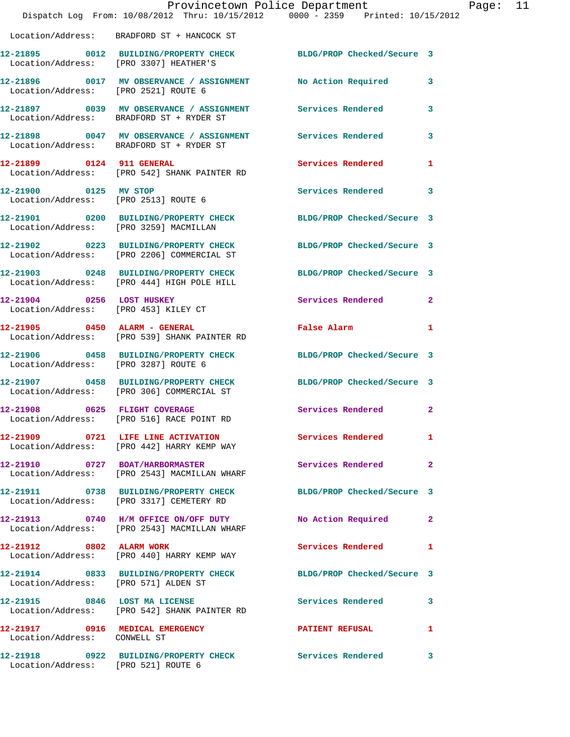|                                                                   | Provincetown Police Department<br>Dispatch Log From: 10/08/2012 Thru: 10/15/2012 0000 - 2359 Printed: 10/15/2012 |                               |                |
|-------------------------------------------------------------------|------------------------------------------------------------------------------------------------------------------|-------------------------------|----------------|
|                                                                   | Location/Address: BRADFORD ST + HANCOCK ST                                                                       |                               |                |
| Location/Address: [PRO 3307] HEATHER'S                            | 12-21895 0012 BUILDING/PROPERTY CHECK BLDG/PROP Checked/Secure 3                                                 |                               |                |
| Location/Address: [PRO 2521] ROUTE 6                              | 12-21896 0017 MV OBSERVANCE / ASSIGNMENT No Action Required                                                      |                               | 3              |
|                                                                   | 12-21897 0039 MV OBSERVANCE / ASSIGNMENT Services Rendered<br>Location/Address: BRADFORD ST + RYDER ST           |                               | 3              |
|                                                                   | 12-21898 0047 MV OBSERVANCE / ASSIGNMENT Services Rendered<br>Location/Address: BRADFORD ST + RYDER ST           |                               | 3              |
|                                                                   | 12-21899 0124 911 GENERAL<br>Location/Address: [PRO 542] SHANK PAINTER RD                                        | Services Rendered             | 1              |
| 12-21900 0125 MV STOP<br>Location/Address: [PRO 2513] ROUTE 6     |                                                                                                                  | Services Rendered             | 3              |
| Location/Address: [PRO 3259] MACMILLAN                            | 12-21901 0200 BUILDING/PROPERTY CHECK                                                                            | BLDG/PROP Checked/Secure 3    |                |
|                                                                   | 12-21902 0223 BUILDING/PROPERTY CHECK<br>Location/Address: [PRO 2206] COMMERCIAL ST                              | BLDG/PROP Checked/Secure 3    |                |
|                                                                   | 12-21903 0248 BUILDING/PROPERTY CHECK<br>Location/Address: [PRO 444] HIGH POLE HILL                              | BLDG/PROP Checked/Secure 3    |                |
| 12-21904 0256 LOST HUSKEY<br>Location/Address: [PRO 453] KILEY CT |                                                                                                                  | <b>Services Rendered</b>      | $\overline{2}$ |
| 12-21905 0450 ALARM - GENERAL                                     | Location/Address: [PRO 539] SHANK PAINTER RD                                                                     | False Alarm <b>Execute 19</b> | 1              |
| Location/Address: [PRO 3287] ROUTE 6                              | 12-21906 0458 BUILDING/PROPERTY CHECK                                                                            | BLDG/PROP Checked/Secure 3    |                |
|                                                                   | 12-21907 0458 BUILDING/PROPERTY CHECK<br>Location/Address: [PRO 306] COMMERCIAL ST                               | BLDG/PROP Checked/Secure 3    |                |
| 12-21908 0625 FLIGHT COVERAGE                                     | Location/Address: [PRO 516] RACE POINT RD                                                                        | Services Rendered             | $\mathbf{2}$   |
|                                                                   | 12-21909 0721 LIFE LINE ACTIVATION<br>Location/Address: [PRO 442] HARRY KEMP WAY                                 | <b>Services Rendered</b>      | 1              |
|                                                                   | 12-21910 0727 BOAT/HARBORMASTER<br>Location/Address: [PRO 2543] MACMILLAN WHARF                                  | Services Rendered             | $\mathbf{2}$   |
|                                                                   | 12-21911 0738 BUILDING/PROPERTY CHECK<br>Location/Address: [PRO 3317] CEMETERY RD                                | BLDG/PROP Checked/Secure 3    |                |
|                                                                   | 12-21913 0740 H/M OFFICE ON/OFF DUTY<br>Location/Address: [PRO 2543] MACMILLAN WHARF                             | No Action Required            | 2              |
| 12-21912 0802 ALARM WORK                                          | Location/Address: [PRO 440] HARRY KEMP WAY                                                                       | Services Rendered             | 1              |
| Location/Address: [PRO 571] ALDEN ST                              | 12-21914 0833 BUILDING/PROPERTY CHECK                                                                            | BLDG/PROP Checked/Secure 3    |                |
|                                                                   | 12-21915 0846 LOST MA LICENSE<br>Location/Address: [PRO 542] SHANK PAINTER RD                                    | Services Rendered             | 3              |
| Location/Address: CONWELL ST                                      | 12-21917 0916 MEDICAL EMERGENCY                                                                                  | <b>PATIENT REFUSAL</b>        | 1              |
| Location/Address: [PRO 521] ROUTE 6                               | 12-21918 0922 BUILDING/PROPERTY CHECK Services Rendered                                                          |                               | 3              |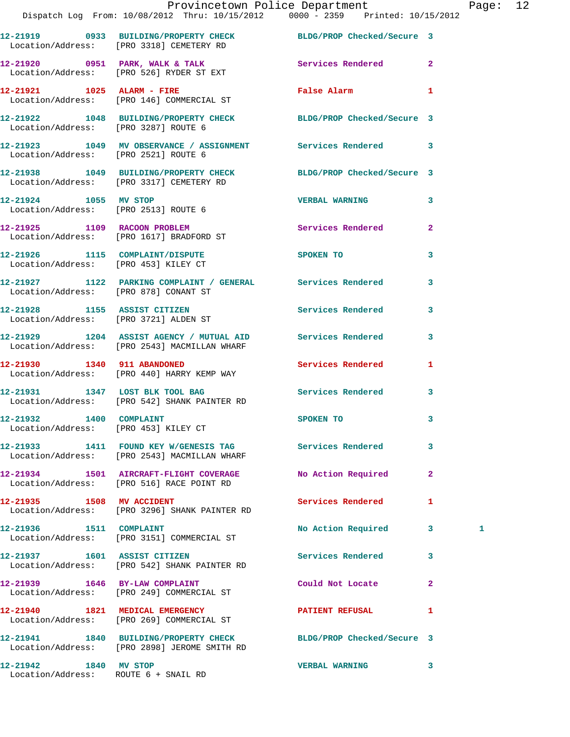|                                                                 | Provincetown Police Department Fage: 12<br>Dispatch Log From: 10/08/2012 Thru: 10/15/2012 0000 - 2359 Printed: 10/15/2012 |                          |                |   |  |
|-----------------------------------------------------------------|---------------------------------------------------------------------------------------------------------------------------|--------------------------|----------------|---|--|
|                                                                 | 12-21919 0933 BUILDING/PROPERTY CHECK BLDG/PROP Checked/Secure 3<br>Location/Address: [PRO 3318] CEMETERY RD              |                          |                |   |  |
|                                                                 | 12-21920 0951 PARK, WALK & TALK 3 Services Rendered 2<br>Location/Address: [PRO 526] RYDER ST EXT                         |                          |                |   |  |
|                                                                 | 12-21921 1025 ALARM - FIRE<br>Location/Address: [PRO 146] COMMERCIAL ST                                                   | False Alarm 1            |                |   |  |
|                                                                 | 12-21922 1048 BUILDING/PROPERTY CHECK BLDG/PROP Checked/Secure 3<br>Location/Address: [PRO 3287] ROUTE 6                  |                          |                |   |  |
|                                                                 | 12-21923 1049 MV OBSERVANCE / ASSIGNMENT Services Rendered 3<br>Location/Address: [PRO 2521] ROUTE 6                      |                          |                |   |  |
|                                                                 | 12-21938 1049 BUILDING/PROPERTY CHECK BLDG/PROP Checked/Secure 3<br>Location/Address: [PRO 3317] CEMETERY RD              |                          |                |   |  |
| 12-21924 1055 MV STOP                                           | Location/Address: [PRO 2513] ROUTE 6                                                                                      | <b>VERBAL WARNING</b>    | 3              |   |  |
|                                                                 | 12-21925 1109 RACOON PROBLEM<br>Location/Address: [PRO 1617] BRADFORD ST                                                  | Services Rendered        | $\mathbf{2}$   |   |  |
|                                                                 | 12-21926 1115 COMPLAINT/DISPUTE SPOKEN TO<br>Location/Address: [PRO 453] KILEY CT                                         |                          | 3              |   |  |
|                                                                 | 12-21927 1122 PARKING COMPLAINT / GENERAL Services Rendered<br>Location/Address: [PRO 878] CONANT ST                      |                          | 3              |   |  |
|                                                                 | 12-21928 1155 ASSIST CITIZEN<br>Location/Address: [PRO 3721] ALDEN ST                                                     | Services Rendered        | 3              |   |  |
|                                                                 | 12-21929 1204 ASSIST AGENCY / MUTUAL AID Services Rendered<br>Location/Address: [PRO 2543] MACMILLAN WHARF                |                          | 3              |   |  |
| 12-21930 1340 911 ABANDONED                                     | Location/Address: [PRO 440] HARRY KEMP WAY                                                                                | Services Rendered        | 1              |   |  |
|                                                                 | 12-21931              1347    LOST BLK TOOL BAG<br>Location/Address:     [PRO 542] SHANK PAINTER RD                       | Services Rendered 3      |                |   |  |
| 12-21932 1400 COMPLAINT<br>Location/Address: [PRO 453] KILEY CT |                                                                                                                           | <b>SPOKEN TO</b>         |                |   |  |
|                                                                 | 12-21933 1411 FOUND KEY W/GENESIS TAG Services Rendered<br>Location/Address: [PRO 2543] MACMILLAN WHARF                   |                          | 3              |   |  |
|                                                                 | 12-21934 1501 AIRCRAFT-FLIGHT COVERAGE<br>Location/Address: [PRO 516] RACE POINT RD                                       | No Action Required       | $\overline{2}$ |   |  |
|                                                                 | 12-21935 1508 MV ACCIDENT<br>Location/Address: [PRO 3296] SHANK PAINTER RD                                                | <b>Services Rendered</b> | 1              |   |  |
| 12-21936   1511   COMPLAINT                                     | Location/Address: [PRO 3151] COMMERCIAL ST                                                                                | No Action Required 3     |                | 1 |  |
|                                                                 | 12-21937 1601 ASSIST CITIZEN<br>Location/Address: [PRO 542] SHANK PAINTER RD                                              | Services Rendered        | 3              |   |  |
| 12-21939 1646 BY-LAW COMPLAINT                                  | Location/Address: [PRO 249] COMMERCIAL ST                                                                                 | Could Not Locate         | $\mathbf{2}$   |   |  |
|                                                                 | 12-21940 1821 MEDICAL EMERGENCY<br>Location/Address: [PRO 269] COMMERCIAL ST                                              | PATIENT REFUSAL          | 1              |   |  |
|                                                                 | 12-21941 1840 BUILDING/PROPERTY CHECK BLDG/PROP Checked/Secure 3<br>Location/Address: [PRO 2898] JEROME SMITH RD          |                          |                |   |  |
| 12-21942 1840 MV STOP                                           |                                                                                                                           | VERBAL WARNING 3         |                |   |  |

Location/Address: ROUTE 6 + SNAIL RD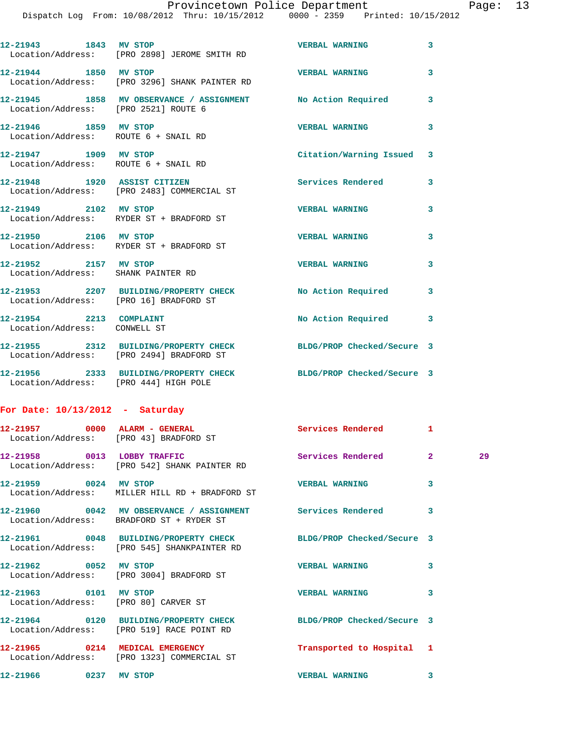Dispatch Log From: 10/08/2012 Thru: 10/15/2012 0000 - 2359 Printed: 10/15/2012

|                                                               | 12-21943 1843 MV STOP<br>Location/Address: [PRO 2898] JEROME SMITH RD                | <b>VERBAL WARNING</b>      | 3            |    |
|---------------------------------------------------------------|--------------------------------------------------------------------------------------|----------------------------|--------------|----|
| 12-21944 1850 MV STOP                                         | Location/Address: [PRO 3296] SHANK PAINTER RD                                        | <b>VERBAL WARNING</b>      | 3            |    |
| Location/Address: [PRO 2521] ROUTE 6                          | 12-21945 1858 MV OBSERVANCE / ASSIGNMENT No Action Required                          |                            | 3            |    |
| 12-21946 1859 MV STOP<br>Location/Address: ROUTE 6 + SNAIL RD |                                                                                      | <b>VERBAL WARNING</b>      | 3            |    |
| 12-21947 1909 MV STOP<br>Location/Address: ROUTE 6 + SNAIL RD |                                                                                      | Citation/Warning Issued    | 3            |    |
|                                                               | 12-21948 1920 ASSIST CITIZEN<br>Location/Address: [PRO 2483] COMMERCIAL ST           | Services Rendered          | 3            |    |
|                                                               | 12-21949 2102 MV STOP<br>Location/Address: RYDER ST + BRADFORD ST                    | <b>VERBAL WARNING</b>      | 3            |    |
| 12-21950 2106 MV STOP                                         | Location/Address: RYDER ST + BRADFORD ST                                             | <b>VERBAL WARNING</b>      | 3            |    |
| 12-21952 2157 MV STOP<br>Location/Address: SHANK PAINTER RD   |                                                                                      | <b>VERBAL WARNING</b>      | 3            |    |
| Location/Address: [PRO 16] BRADFORD ST                        | 12-21953 2207 BUILDING/PROPERTY CHECK                                                | No Action Required         | 3            |    |
| 12-21954 2213 COMPLAINT<br>Location/Address: CONWELL ST       |                                                                                      | No Action Required 3       |              |    |
|                                                               | 12-21955 2312 BUILDING/PROPERTY CHECK<br>Location/Address: [PRO 2494] BRADFORD ST    | BLDG/PROP Checked/Secure 3 |              |    |
| Location/Address: [PRO 444] HIGH POLE                         | 12-21956 2333 BUILDING/PROPERTY CHECK BLDG/PROP Checked/Secure 3                     |                            |              |    |
| For Date: $10/13/2012$ - Saturday                             |                                                                                      |                            |              |    |
| 12-21957 0000 ALARM - GENERAL                                 | Location/Address: [PRO 43] BRADFORD ST                                               | Services Rendered 1        |              |    |
| 12-21958 0013 LOBBY TRAFFIC                                   | Location/Address: [PRO 542] SHANK PAINTER RD                                         | Services Rendered          | $\mathbf{2}$ | 29 |
| 12-21959 0024 MV STOP                                         | Location/Address: MILLER HILL RD + BRADFORD ST                                       | <b>VERBAL WARNING</b>      | 3            |    |
|                                                               | 12-21960 0042 MV OBSERVANCE / ASSIGNMENT<br>Location/Address: BRADFORD ST + RYDER ST | Services Rendered          | 3            |    |
|                                                               | 12-21961 0048 BUILDING/PROPERTY CHECK<br>Location/Address: [PRO 545] SHANKPAINTER RD | BLDG/PROP Checked/Secure 3 |              |    |

**12-21962 0052 MV STOP VERBAL WARNING 3**  Location/Address: [PRO 3004] BRADFORD ST **12-21963 0101 MV STOP VERBAL WARNING 3**  Location/Address: [PRO 80] CARVER ST **12-21964 0120 BUILDING/PROPERTY CHECK BLDG/PROP Checked/Secure 3**  Location/Address: [PRO 519] RACE POINT RD **12-21965 0214 MEDICAL EMERGENCY Transported to Hospital 1** 

Location/Address: [PRO 1323] COMMERCIAL ST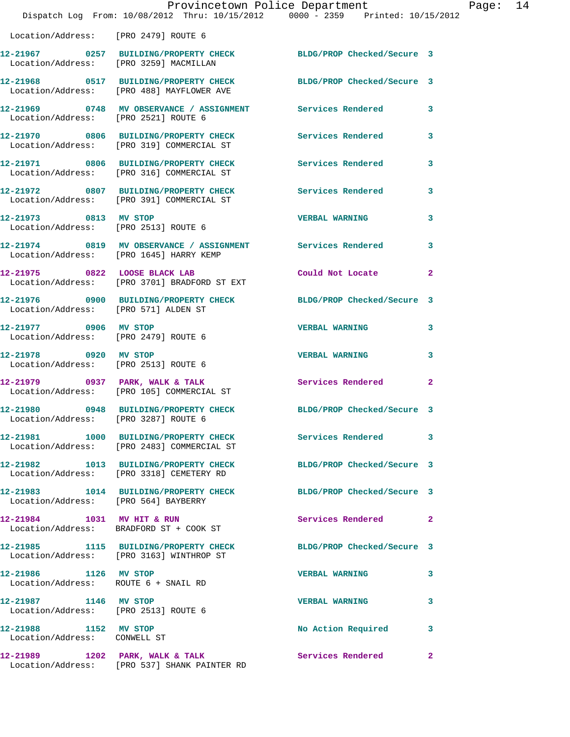|                                                               | Dispatch Log From: 10/08/2012 Thru: 10/15/2012 0000 - 2359 Printed: 10/15/2012                                     | Provincetown Police Department | P              |
|---------------------------------------------------------------|--------------------------------------------------------------------------------------------------------------------|--------------------------------|----------------|
| Location/Address: [PRO 2479] ROUTE 6                          |                                                                                                                    |                                |                |
|                                                               | 12-21967 0257 BUILDING/PROPERTY CHECK BLDG/PROP Checked/Secure 3<br>Location/Address: [PRO 3259] MACMILLAN         |                                |                |
|                                                               | 12-21968 0517 BUILDING/PROPERTY CHECK BLDG/PROP Checked/Secure 3<br>Location/Address: [PRO 488] MAYFLOWER AVE      |                                |                |
| Location/Address: [PRO 2521] ROUTE 6                          | 12-21969 0748 MV OBSERVANCE / ASSIGNMENT Services Rendered                                                         |                                | 3              |
|                                                               | 12-21970 0806 BUILDING/PROPERTY CHECK Services Rendered<br>Location/Address: [PRO 319] COMMERCIAL ST               |                                | 3              |
|                                                               | 12-21971 0806 BUILDING/PROPERTY CHECK Services Rendered<br>Location/Address: [PRO 316] COMMERCIAL ST               |                                | 3              |
|                                                               | 12-21972 0807 BUILDING/PROPERTY CHECK Services Rendered<br>Location/Address: [PRO 391] COMMERCIAL ST               |                                | 3              |
| 12-21973 0813 MV STOP                                         | Location/Address: [PRO 2513] ROUTE 6                                                                               | <b>VERBAL WARNING</b>          | 3              |
|                                                               | 12-21974     0819   MV OBSERVANCE / ASSIGNMENT      Services Rendered<br>Location/Address:   [PRO 1645] HARRY KEMP |                                | 3              |
|                                                               | 12-21975 0822 LOOSE BLACK LAB<br>Location/Address: [PRO 3701] BRADFORD ST EXT                                      | Could Not Locate               | $\overline{2}$ |
| Location/Address: [PRO 571] ALDEN ST                          | 12-21976 0900 BUILDING/PROPERTY CHECK BLDG/PROP Checked/Secure 3                                                   |                                |                |
| 12-21977 0906 MV STOP<br>Location/Address: [PRO 2479] ROUTE 6 |                                                                                                                    | <b>VERBAL WARNING</b>          | 3              |
| 12-21978 0920 MV STOP<br>Location/Address: [PRO 2513] ROUTE 6 |                                                                                                                    | <b>VERBAL WARNING</b>          | 3              |
|                                                               | $12-21979$ 0937 PARK, WALK & TALK<br>Location/Address: [PRO 105] COMMERCIAL ST                                     | <b>Services Rendered</b>       | $\overline{2}$ |
| Location/Address: [PRO 3287] ROUTE 6                          | 12-21980 0948 BUILDING/PROPERTY CHECK                                                                              | BLDG/PROP Checked/Secure 3     |                |
|                                                               | 12-21981 1000 BUILDING/PROPERTY CHECK Services Rendered<br>Location/Address: [PRO 2483] COMMERCIAL ST              |                                | 3              |
|                                                               | 12-21982 1013 BUILDING/PROPERTY CHECK<br>Location/Address: [PRO 3318] CEMETERY RD                                  | BLDG/PROP Checked/Secure 3     |                |
| Location/Address: [PRO 564] BAYBERRY                          | 12-21983 1014 BUILDING/PROPERTY CHECK BLDG/PROP Checked/Secure 3                                                   |                                |                |
|                                                               | 12-21984 1031 MV HIT & RUN<br>Location/Address: BRADFORD ST + COOK ST                                              | Services Rendered              | $\mathbf{2}$   |
|                                                               | 12-21985 1115 BUILDING/PROPERTY CHECK<br>Location/Address: [PRO 3163] WINTHROP ST                                  | BLDG/PROP Checked/Secure 3     |                |
| 12-21986 1126 MV STOP<br>Location/Address: ROUTE 6 + SNAIL RD |                                                                                                                    | <b>VERBAL WARNING</b>          | 3              |
| 12-21987 1146 MV STOP<br>Location/Address: [PRO 2513] ROUTE 6 |                                                                                                                    | <b>VERBAL WARNING</b>          | 3              |
| 12-21988 1152 MV STOP<br>Location/Address: CONWELL ST         |                                                                                                                    | No Action Required             | 3              |
|                                                               | $12-21989$ 1202 PARK, WALK & TALK<br>Location/Address: [PRO 537] SHANK PAINTER RD                                  | <b>Services Rendered</b>       | $\overline{2}$ |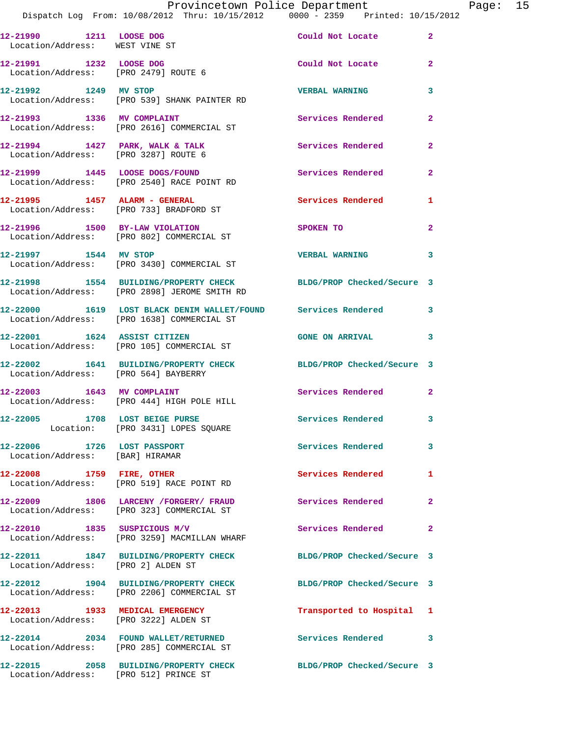|  |                                | Provincetown Police Department  |  | Page: $15$ |  |
|--|--------------------------------|---------------------------------|--|------------|--|
|  | m: 10/08/2012 Thru: 10/15/2012 | 0000 - 2359 Printed: 10/15/2012 |  |            |  |

|                                                                             | I LOVINCCLOWN LOILCE DEPULCINENC<br>Dispatch Log From: 10/08/2012 Thru: 10/15/2012 0000 - 2359 Printed: 10/15/ |                            |                |
|-----------------------------------------------------------------------------|----------------------------------------------------------------------------------------------------------------|----------------------------|----------------|
| 12-21990 1211 LOOSE DOG<br>Location/Address: WEST VINE ST                   |                                                                                                                | Could Not Locate           | $\mathbf{2}^-$ |
|                                                                             | 12-21991 1232 LOOSE DOG<br>Location/Address: [PRO 2479] ROUTE 6                                                | Could Not Locate           | $\mathbf{2}$   |
| 12-21992 1249 MV STOP                                                       | Location/Address: [PRO 539] SHANK PAINTER RD                                                                   | <b>VERBAL WARNING</b>      | 3              |
| 12-21993 1336 MV COMPLAINT                                                  | Location/Address: [PRO 2616] COMMERCIAL ST                                                                     | <b>Services Rendered</b>   | $\mathbf{2}$   |
| $12 - 21994$ 1427 PARK, WALK & TALK<br>Location/Address: [PRO 3287] ROUTE 6 |                                                                                                                | Services Rendered          | $\mathbf{2}$   |
|                                                                             | 12-21999 1445 LOOSE DOGS/FOUND<br>Location/Address: [PRO 2540] RACE POINT RD                                   | <b>Services Rendered</b>   | $\mathbf{2}$   |
|                                                                             | Location/Address: [PRO 733] BRADFORD ST                                                                        | <b>Services Rendered</b>   | $\mathbf{1}$   |
| 12-21996 1500 BY-LAW VIOLATION                                              | Location/Address: [PRO 802] COMMERCIAL ST                                                                      | SPOKEN TO                  | $\overline{a}$ |
| 12-21997 1544 MV STOP                                                       | Location/Address: [PRO 3430] COMMERCIAL ST                                                                     | <b>VERBAL WARNING</b>      | 3              |
|                                                                             | 12-21998 1554 BUILDING/PROPERTY CHECK<br>Location/Address: [PRO 2898] JEROME SMITH RD                          | BLDG/PROP Checked/Secure 3 |                |
|                                                                             | 12-22000 1619 LOST BLACK DENIM WALLET/FOUND Services Rendered<br>Location/Address: [PRO 1638] COMMERCIAL ST    |                            | $\mathbf{3}$   |
| 12-22001 1624 ASSIST CITIZEN                                                | Location/Address: [PRO 105] COMMERCIAL ST                                                                      | <b>GONE ON ARRIVAL</b>     | 3              |
| Location/Address: [PRO 564] BAYBERRY                                        | 12-22002 1641 BUILDING/PROPERTY CHECK                                                                          | BLDG/PROP Checked/Secure 3 |                |
| 12-22003 1643 MV COMPLAINT                                                  | Location/Address: [PRO 444] HIGH POLE HILL                                                                     | Services Rendered          | $\overline{2}$ |
| 12-22005 1708 LOST BEIGE PURSE                                              | Location: [PRO 3431] LOPES SQUARE                                                                              | Services Rendered 3        |                |
| 12-22006 1726 LOST PASSPORT<br>Location/Address: [BAR] HIRAMAR              |                                                                                                                | Services Rendered          | $\mathbf{3}$   |
|                                                                             | 12-22008 1759 FIRE, OTHER<br>Location/Address: [PRO 519] RACE POINT RD                                         | <b>Services Rendered</b>   | 1              |
|                                                                             | 12-22009 1806 LARCENY / FORGERY / FRAUD<br>Location/Address: [PRO 323] COMMERCIAL ST                           | Services Rendered 2        |                |
|                                                                             | 12-22010 1835 SUSPICIOUS M/V<br>Location/Address: [PRO 3259] MACMILLAN WHARF                                   | Services Rendered          | $\mathbf{2}$   |
| Location/Address: [PRO 2] ALDEN ST                                          | 12-22011 1847 BUILDING/PROPERTY CHECK BLDG/PROP Checked/Secure 3                                               |                            |                |
|                                                                             | 12-22012 1904 BUILDING/PROPERTY CHECK<br>Location/Address: [PRO 2206] COMMERCIAL ST                            | BLDG/PROP Checked/Secure 3 |                |
| 12-22013 1933 MEDICAL EMERGENCY<br>Location/Address: [PRO 3222] ALDEN ST    |                                                                                                                | Transported to Hospital 1  |                |
|                                                                             | 12-22014 2034 FOUND WALLET/RETURNED<br>Location/Address: [PRO 285] COMMERCIAL ST                               | Services Rendered          | 3              |
| Location/Address: [PRO 512] PRINCE ST                                       | 12-22015 2058 BUILDING/PROPERTY CHECK                                                                          | BLDG/PROP Checked/Secure 3 |                |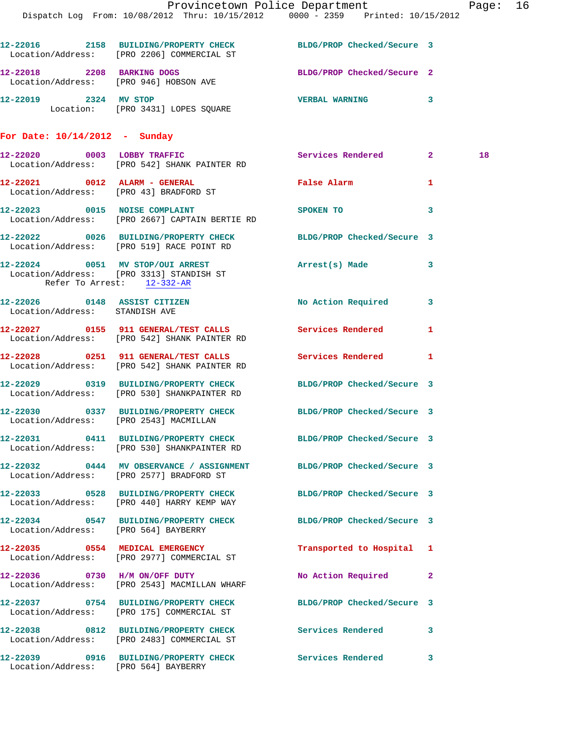|                                                                | Dispatch Log From: 10/08/2012 Thru: 10/15/2012 0000 - 2359 Printed: 10/15/2012                                  | Provincetown Police Department       |              | Page: 16 |  |
|----------------------------------------------------------------|-----------------------------------------------------------------------------------------------------------------|--------------------------------------|--------------|----------|--|
|                                                                | 12-22016 2158 BUILDING/PROPERTY CHECK BLDG/PROP Checked/Secure 3<br>Location/Address: [PRO 2206] COMMERCIAL ST  |                                      |              |          |  |
|                                                                | 12-22018 2208 BARKING DOGS<br>Location/Address: [PRO 946] HOBSON AVE                                            | BLDG/PROP Checked/Secure 2           |              |          |  |
| 12-22019 2324 MV STOP                                          | Location: [PRO 3431] LOPES SQUARE                                                                               | VERBAL WARNING 3                     |              |          |  |
| For Date: $10/14/2012$ - Sunday                                |                                                                                                                 |                                      |              |          |  |
|                                                                | 12-22020 0003 LOBBY TRAFFIC<br>Location/Address: [PRO 542] SHANK PAINTER RD                                     | Services Rendered 2                  |              | 18       |  |
|                                                                | 12-22021 0012 ALARM - GENERAL<br>Location/Address: [PRO 43] BRADFORD ST                                         | False Alarm                          | 1            |          |  |
| 12-22023 0015 NOISE COMPLAINT                                  | Location/Address: [PRO 2667] CAPTAIN BERTIE RD                                                                  | SPOKEN TO THE STATE OF THE SPOKEN TO | $\mathbf{3}$ |          |  |
|                                                                | 12-22022 0026 BUILDING/PROPERTY CHECK BLDG/PROP Checked/Secure 3<br>Location/Address: [PRO 519] RACE POINT RD   |                                      |              |          |  |
| Refer To Arrest: 12-332-AR                                     | 12-22024 0051 MV STOP/OUI ARREST<br>Location/Address: [PRO 3313] STANDISH ST                                    | Arrest(s) Made 3                     |              |          |  |
| 12-22026 0148 ASSIST CITIZEN<br>Location/Address: STANDISH AVE |                                                                                                                 | No Action Required 3                 |              |          |  |
|                                                                | 12-22027 0155 911 GENERAL/TEST CALLS Services Rendered<br>Location/Address: [PRO 542] SHANK PAINTER RD          |                                      | 1            |          |  |
|                                                                | 12-22028 0251 911 GENERAL/TEST CALLS Services Rendered 1<br>Location/Address: [PRO 542] SHANK PAINTER RD        |                                      |              |          |  |
|                                                                | 12-22029 0319 BUILDING/PROPERTY CHECK BLDG/PROP Checked/Secure 3<br>Location/Address: [PRO 530] SHANKPAINTER RD |                                      |              |          |  |
| Location/Address: [PRO 2543] MACMILLAN                         | 12-22030 0337 BUILDING/PROPERTY CHECK BLDG/PROP Checked/Secure 3                                                |                                      |              |          |  |
|                                                                | 12-22031 0411 BUILDING/PROPERTY CHECK BLDG/PROP Checked/Secure 3<br>Location/Address: [PRO 530] SHANKPAINTER RD |                                      |              |          |  |
|                                                                | 12-22032 0444 MV OBSERVANCE / ASSIGNMENT BLDG/PROP Checked/Secure 3<br>Location/Address: [PRO 2577] BRADFORD ST |                                      |              |          |  |
|                                                                | 12-22033 0528 BUILDING/PROPERTY CHECK BLDG/PROP Checked/Secure 3<br>Location/Address: [PRO 440] HARRY KEMP WAY  |                                      |              |          |  |
|                                                                | 12-22034 0547 BUILDING/PROPERTY CHECK BLDG/PROP Checked/Secure 3<br>Location/Address: [PRO 564] BAYBERRY        |                                      |              |          |  |
|                                                                | 12-22035 0554 MEDICAL EMERGENCY<br>Location/Address: [PRO 2977] COMMERCIAL ST                                   | Transported to Hospital 1            |              |          |  |
|                                                                | 12-22036 0730 H/M ON/OFF DUTY<br>Location/Address: [PRO 2543] MACMILLAN WHARF                                   | No Action Required 2                 |              |          |  |
|                                                                | 12-22037 0754 BUILDING/PROPERTY CHECK BLDG/PROP Checked/Secure 3<br>Location/Address: [PRO 175] COMMERCIAL ST   |                                      |              |          |  |
|                                                                | 12-22038 0812 BUILDING/PROPERTY CHECK Services Rendered 3<br>Location/Address: [PRO 2483] COMMERCIAL ST         |                                      |              |          |  |
| Location/Address: [PRO 564] BAYBERRY                           | 12-22039 0916 BUILDING/PROPERTY CHECK Services Rendered                                                         |                                      | 3            |          |  |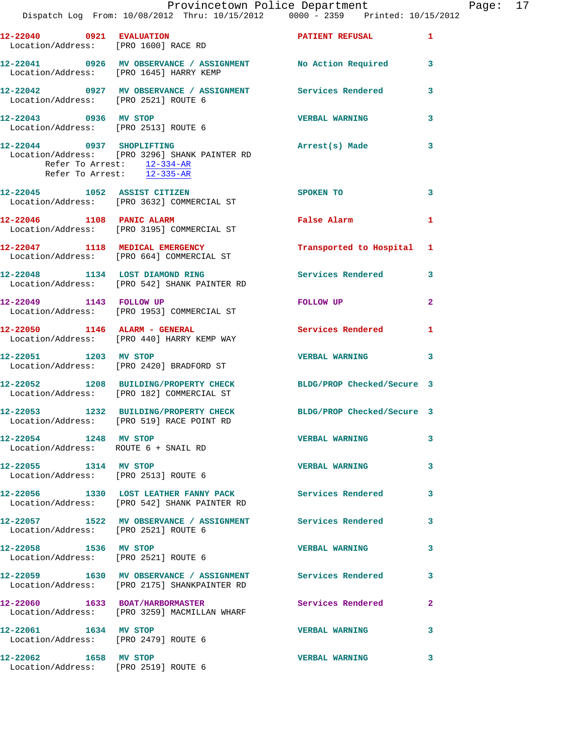|                                                                  | Dispatch Log From: 10/08/2012 Thru: 10/15/2012 0000 - 2359 Printed: 10/15/2012                           | Provincetown Police Department | $\mathbf F$ |
|------------------------------------------------------------------|----------------------------------------------------------------------------------------------------------|--------------------------------|-------------|
| 12-22040 0921 EVALUATION<br>Location/Address: [PRO 1600] RACE RD |                                                                                                          | PATIENT REFUSAL                | 1           |
|                                                                  | 12-22041 0926 MV OBSERVANCE / ASSIGNMENT No Action Required<br>Location/Address: [PRO 1645] HARRY KEMP   |                                | 3           |
| Location/Address: [PRO 2521] ROUTE 6                             | 12-22042 0927 MV OBSERVANCE / ASSIGNMENT Services Rendered                                               |                                | 3           |
| 12-22043 0936 MV STOP<br>Location/Address: [PRO 2513] ROUTE 6    |                                                                                                          | <b>VERBAL WARNING</b>          | 3           |
| Refer To Arrest: 12-335-AR                                       | 12-22044 0937 SHOPLIFTING<br>Location/Address: [PRO 3296] SHANK PAINTER RD<br>Refer To Arrest: 12-334-AR | Arrest(s) Made                 | 3           |
|                                                                  | 12-22045 1052 ASSIST CITIZEN<br>Location/Address: [PRO 3632] COMMERCIAL ST                               | SPOKEN TO                      | 3           |
| 12-22046 1108 PANIC ALARM                                        | Location/Address: [PRO 3195] COMMERCIAL ST                                                               | False Alarm                    | 1           |
|                                                                  | 12-22047 1118 MEDICAL EMERGENCY<br>Location/Address: [PRO 664] COMMERCIAL ST                             | Transported to Hospital        | 1           |
| 12-22048 1134 LOST DIAMOND RING                                  | Location/Address: [PRO 542] SHANK PAINTER RD                                                             | Services Rendered              | 3           |
|                                                                  | 12-22049 1143 FOLLOW UP<br>Location/Address: [PRO 1953] COMMERCIAL ST                                    | FOLLOW UP                      | 2           |
| $12-22050$ 1146 ALARM - GENERAL                                  | Location/Address: [PRO 440] HARRY KEMP WAY                                                               | <b>Services Rendered</b>       | 1           |
|                                                                  | 12-22051 1203 MV STOP<br>Location/Address: [PRO 2420] BRADFORD ST                                        | <b>VERBAL WARNING</b>          | 3           |
|                                                                  | 12-22052 1208 BUILDING/PROPERTY CHECK<br>Location/Address: [PRO 182] COMMERCIAL ST                       | BLDG/PROP Checked/Secure 3     |             |
|                                                                  | 12-22053 1232 BUILDING/PROPERTY CHECK<br>Location/Address: [PRO 519] RACE POINT RD                       | BLDG/PROP Checked/Secure 3     |             |
| 12-22054 1248 MV STOP                                            | Location/Address: ROUTE 6 + SNAIL RD                                                                     | <b>VERBAL WARNING</b>          | 3           |
| 12-22055 1314 MV STOP<br>Location/Address: [PRO 2513] ROUTE 6    |                                                                                                          | <b>VERBAL WARNING</b>          | 3           |
|                                                                  | 12-22056 1330 LOST LEATHER FANNY PACK Services Rendered<br>Location/Address: [PRO 542] SHANK PAINTER RD  |                                | 3           |
| Location/Address: [PRO 2521] ROUTE 6                             | 12-22057 1522 MV OBSERVANCE / ASSIGNMENT Services Rendered                                               |                                | 3           |
| 12-22058 1536 MV STOP<br>Location/Address: [PRO 2521] ROUTE 6    |                                                                                                          | <b>VERBAL WARNING</b>          | 3           |
|                                                                  |                                                                                                          |                                | 3           |
| 12-22060 1633 BOAT/HARBORMASTER                                  | Location/Address: [PRO 3259] MACMILLAN WHARF                                                             | Services Rendered              | 2           |
| 12-22061 1634 MV STOP<br>Location/Address: [PRO 2479] ROUTE 6    |                                                                                                          | <b>VERBAL WARNING</b>          | 3           |
| 12-22062 1658 MV STOP                                            |                                                                                                          | <b>VERBAL WARNING</b>          | 3           |

Location/Address: [PRO 2519] ROUTE 6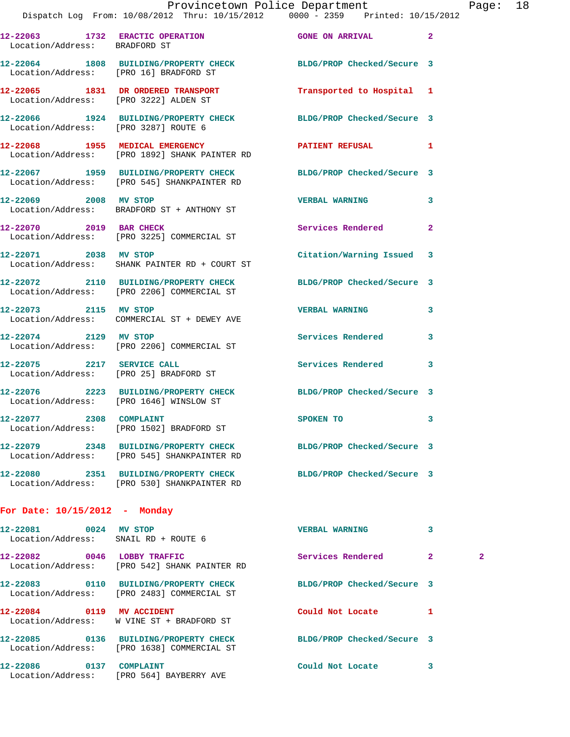| 12-22065                      | 1831 | DR ORDERED TRANSPORT                                                           | Transported to Hospital 1      |   |
|-------------------------------|------|--------------------------------------------------------------------------------|--------------------------------|---|
| 12-22064<br>Location/Address: | 1808 | <b>BUILDING/PROPERTY CHECK</b><br>[PRO 16] BRADFORD ST                         | BLDG/PROP Checked/Secure 3     |   |
| 12-22063<br>Location/Address: | 1732 | <b>ERACTIC OPERATION</b><br>BRADFORD ST                                        | <b>GONE ON ARRIVAL</b>         | 2 |
|                               |      | Dispatch Log From: 10/08/2012 Thru: 10/15/2012 0000 - 2359 Printed: 10/15/2012 |                                |   |
|                               |      |                                                                                | Provincetown Police Department |   |

**12-22066 1924 BUILDING/PROPERTY CHECK BLDG/PROP Checked/Secure 3**  Location/Address: [PRO 3287] ROUTE 6

**12-22068 1955 MEDICAL EMERGENCY PATIENT REFUSAL 1**  Location/Address: [PRO 1892] SHANK PAINTER RD

**12-22067 1959 BUILDING/PROPERTY CHECK BLDG/PROP Checked/Secure 3**  Location/Address: [PRO 545] SHANKPAINTER RD

**12-22069 2008 MV STOP VERBAL WARNING 3**  Location/Address: BRADFORD ST + ANTHONY ST

**12-22070 2019 BAR CHECK Services Rendered 2**  Location/Address: [PRO 3225] COMMERCIAL ST

**12-22071 2038 MV STOP Citation/Warning Issued 3**  Location/Address: SHANK PAINTER RD + COURT ST

**12-22072 2110 BUILDING/PROPERTY CHECK BLDG/PROP Checked/Secure 3**  Location/Address: [PRO 2206] COMMERCIAL ST

Location/Address: COMMERCIAL ST + DEWEY AVE

Location/Address: [PRO 2206] COMMERCIAL ST

**12-22075 2217 SERVICE CALL Services Rendered 3**  Location/Address: [PRO 25] BRADFORD ST

**12-22076 2223 BUILDING/PROPERTY CHECK BLDG/PROP Checked/Secure 3**  Location/Address: [PRO 1646] WINSLOW ST

Location/Address: [PRO 3222] ALDEN ST

**12-22077 2308 COMPLAINT SPOKEN TO 3**  Location/Address: [PRO 1502] BRADFORD ST

Location/Address: [PRO 530] SHANKPAINTER RD

**12-22079 2348 BUILDING/PROPERTY CHECK BLDG/PROP Checked/Secure 3** 

Location/Address: [PRO 545] SHANKPAINTER RD

**12-22073 2115 MV STOP VERBAL WARNING 3 12-22074 2129 MV STOP Services Rendered 3** 

**12-22080 2351 BUILDING/PROPERTY CHECK BLDG/PROP Checked/Secure 3** 

## **For Date: 10/15/2012 - Monday**

| 12-22081<br>0024<br>Location/Address: SNAIL RD + ROUTE 6 | MV STOP                                                               | <b>VERBAL WARNING</b>      |              |              |
|----------------------------------------------------------|-----------------------------------------------------------------------|----------------------------|--------------|--------------|
| 12-22082  0046 LOBBY TRAFFIC                             | Location/Address: [PRO 542] SHANK PAINTER RD                          | Services Rendered          | $\mathbf{2}$ | $\mathbf{2}$ |
| 0110<br>12-22083                                         | BUILDING/PROPERTY CHECK<br>Location/Address: [PRO 2483] COMMERCIAL ST | BLDG/PROP Checked/Secure 3 |              |              |
| 12-22084 0119                                            | <b>MV ACCIDENT</b><br>Location/Address: W VINE ST + BRADFORD ST       | Could Not Locate           |              |              |
|                                                          | Location/Address: [PRO 1638] COMMERCIAL ST                            | BLDG/PROP Checked/Secure 3 |              |              |
| 12-22086<br>0137                                         | COMPLAINT<br>Location/Address: [PRO 564] BAYBERRY AVE                 | Could Not Locate           | 3            |              |